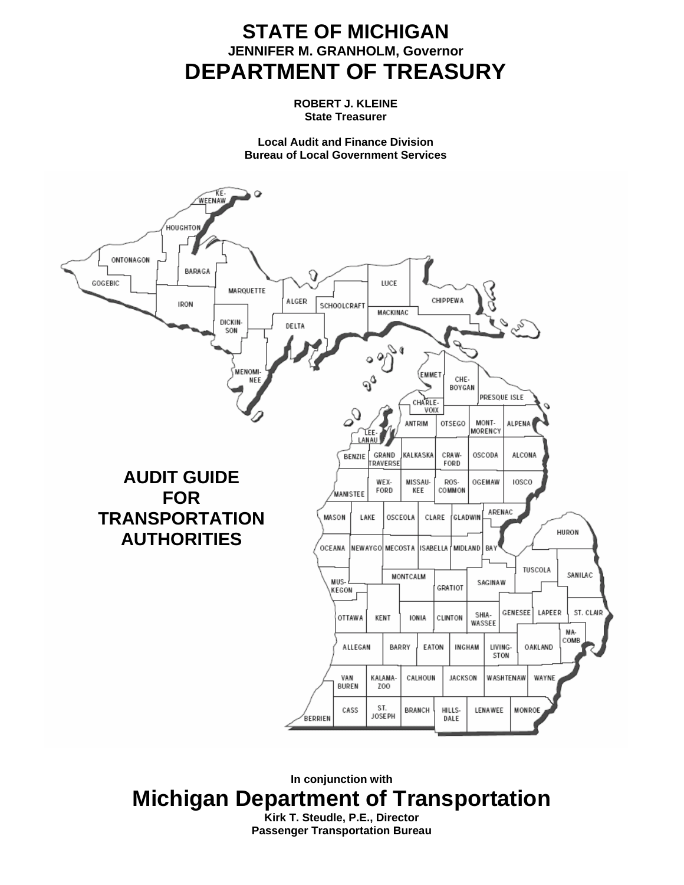# **STATE OF MICHIGAN JENNIFER M. GRANHOLM, Governor DEPARTMENT OF TREASURY**

**ROBERT J. KLEINE State Treasurer** 

**Local Audit and Finance Division Bureau of Local Government Services** 



**In conjunction with Michigan Department of Transportation Kirk T. Steudle, P.E., Director Passenger Transportation Bureau**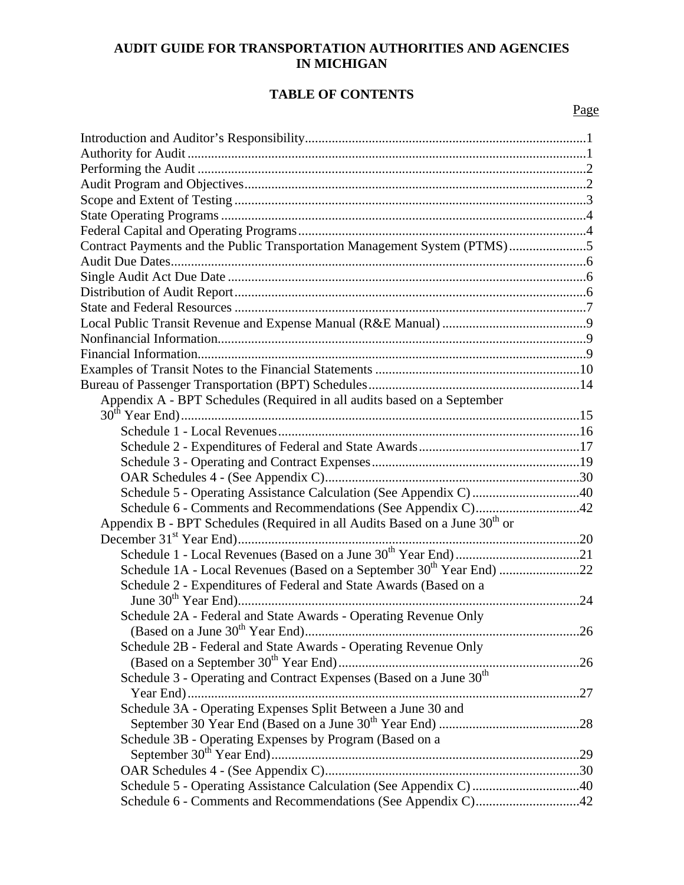# **AUDIT GUIDE FOR TRANSPORTATION AUTHORITIES AND AGENCIES IN MICHIGAN**

# **TABLE OF CONTENTS**

# Page

| Contract Payments and the Public Transportation Management System (PTMS)5              |
|----------------------------------------------------------------------------------------|
|                                                                                        |
|                                                                                        |
|                                                                                        |
|                                                                                        |
|                                                                                        |
|                                                                                        |
|                                                                                        |
|                                                                                        |
|                                                                                        |
| Appendix A - BPT Schedules (Required in all audits based on a September                |
|                                                                                        |
|                                                                                        |
|                                                                                        |
|                                                                                        |
|                                                                                        |
| Schedule 5 - Operating Assistance Calculation (See Appendix C)40                       |
|                                                                                        |
| Appendix B - BPT Schedules (Required in all Audits Based on a June 30 <sup>th</sup> or |
|                                                                                        |
|                                                                                        |
|                                                                                        |
| Schedule 2 - Expenditures of Federal and State Awards (Based on a                      |
|                                                                                        |
| Schedule 2A - Federal and State Awards - Operating Revenue Only                        |
|                                                                                        |
| Schedule 2B - Federal and State Awards - Operating Revenue Only                        |
|                                                                                        |
| Schedule 3 - Operating and Contract Expenses (Based on a June 30 <sup>th</sup>         |
| Schedule 3A - Operating Expenses Split Between a June 30 and                           |
|                                                                                        |
| Schedule 3B - Operating Expenses by Program (Based on a                                |
|                                                                                        |
|                                                                                        |
| Schedule 5 - Operating Assistance Calculation (See Appendix C)40                       |
| Schedule 6 - Comments and Recommendations (See Appendix C)42                           |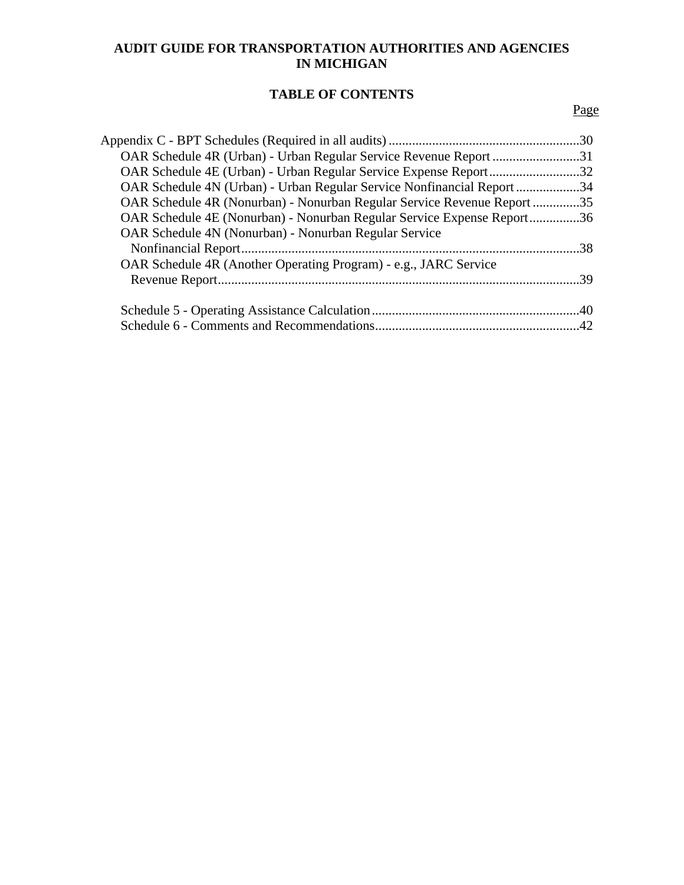# **AUDIT GUIDE FOR TRANSPORTATION AUTHORITIES AND AGENCIES IN MICHIGAN**

# **TABLE OF CONTENTS**

# Page

| OAR Schedule 4R (Urban) - Urban Regular Service Revenue Report 31       |     |
|-------------------------------------------------------------------------|-----|
| OAR Schedule 4E (Urban) - Urban Regular Service Expense Report32        |     |
| OAR Schedule 4N (Urban) - Urban Regular Service Nonfinancial Report 34  |     |
| OAR Schedule 4R (Nonurban) - Nonurban Regular Service Revenue Report 35 |     |
| OAR Schedule 4E (Nonurban) - Nonurban Regular Service Expense Report36  |     |
| OAR Schedule 4N (Nonurban) - Nonurban Regular Service                   |     |
|                                                                         |     |
| OAR Schedule 4R (Another Operating Program) - e.g., JARC Service        |     |
|                                                                         | -39 |
|                                                                         |     |
|                                                                         |     |
|                                                                         |     |
|                                                                         |     |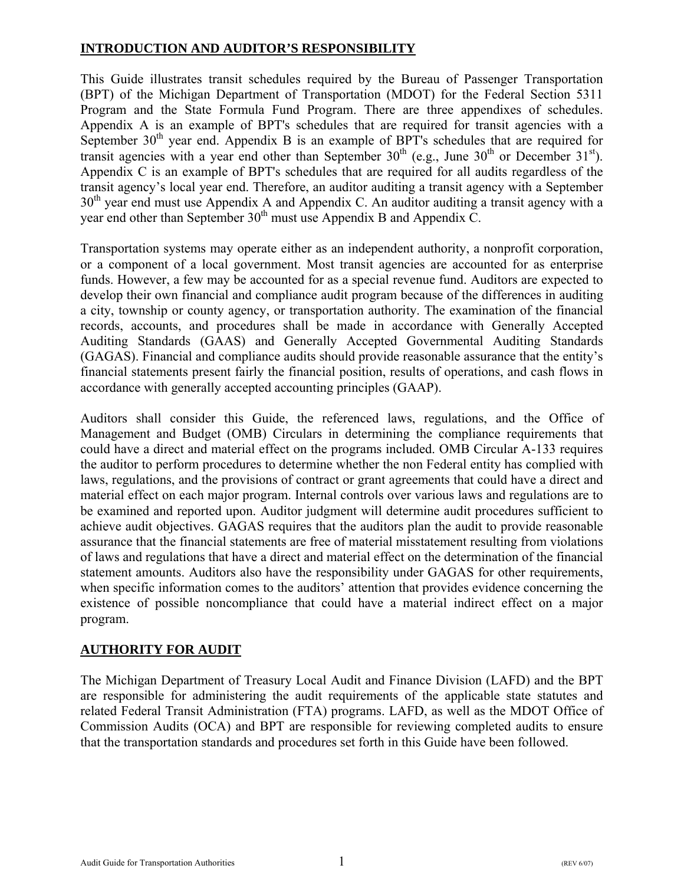# <span id="page-3-0"></span>**INTRODUCTION AND AUDITOR'S RESPONSIBILITY**

This Guide illustrates transit schedules required by the Bureau of Passenger Transportation (BPT) of the Michigan Department of Transportation (MDOT) for the Federal Section 5311 Program and the State Formula Fund Program. There are three appendixes of schedules. Appendix A is an example of BPT's schedules that are required for transit agencies with a September  $30<sup>th</sup>$  year end. Appendix B is an example of BPT's schedules that are required for transit agencies with a year end other than September  $30<sup>th</sup>$  (e.g., June  $30<sup>th</sup>$  or December  $31<sup>st</sup>$ ). Appendix C is an example of BPT's schedules that are required for all audits regardless of the transit agency's local year end. Therefore, an auditor auditing a transit agency with a September  $30<sup>th</sup>$  year end must use Appendix A and Appendix C. An auditor auditing a transit agency with a year end other than September  $30<sup>th</sup>$  must use Appendix B and Appendix C.

Transportation systems may operate either as an independent authority, a nonprofit corporation, or a component of a local government. Most transit agencies are accounted for as enterprise funds. However, a few may be accounted for as a special revenue fund. Auditors are expected to develop their own financial and compliance audit program because of the differences in auditing a city, township or county agency, or transportation authority. The examination of the financial records, accounts, and procedures shall be made in accordance with Generally Accepted Auditing Standards (GAAS) and Generally Accepted Governmental Auditing Standards (GAGAS). Financial and compliance audits should provide reasonable assurance that the entity's financial statements present fairly the financial position, results of operations, and cash flows in accordance with generally accepted accounting principles (GAAP).

Auditors shall consider this Guide, the referenced laws, regulations, and the Office of Management and Budget (OMB) Circulars in determining the compliance requirements that could have a direct and material effect on the programs included. OMB Circular A-133 requires the auditor to perform procedures to determine whether the non Federal entity has complied with laws, regulations, and the provisions of contract or grant agreements that could have a direct and material effect on each major program. Internal controls over various laws and regulations are to be examined and reported upon. Auditor judgment will determine audit procedures sufficient to achieve audit objectives. GAGAS requires that the auditors plan the audit to provide reasonable assurance that the financial statements are free of material misstatement resulting from violations of laws and regulations that have a direct and material effect on the determination of the financial statement amounts. Auditors also have the responsibility under GAGAS for other requirements, when specific information comes to the auditors' attention that provides evidence concerning the existence of possible noncompliance that could have a material indirect effect on a major program.

# **AUTHORITY FOR AUDIT**

The Michigan Department of Treasury Local Audit and Finance Division (LAFD) and the BPT are responsible for administering the audit requirements of the applicable state statutes and related Federal Transit Administration (FTA) programs. LAFD, as well as the MDOT Office of Commission Audits (OCA) and BPT are responsible for reviewing completed audits to ensure that the transportation standards and procedures set forth in this Guide have been followed.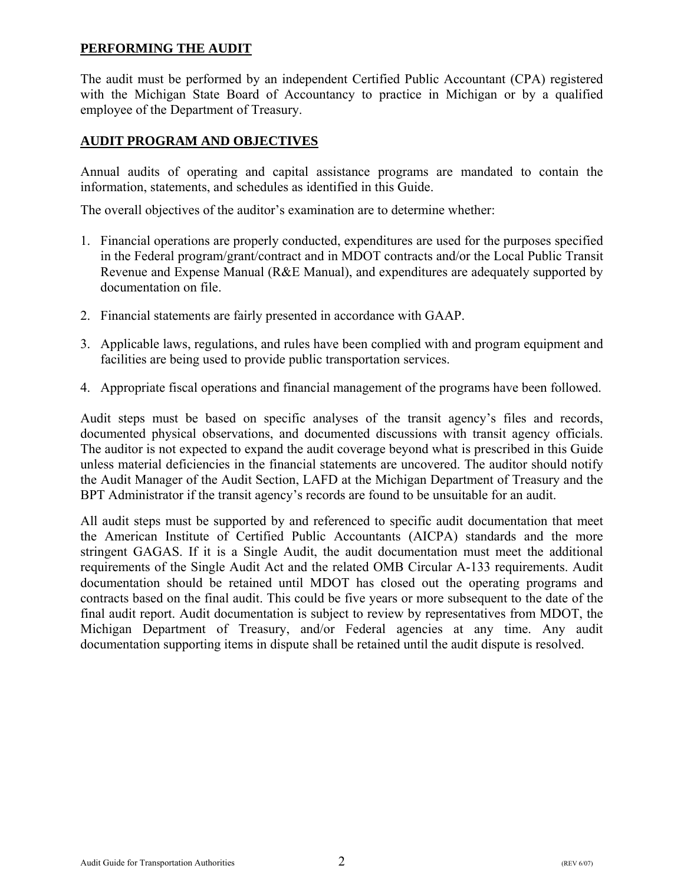# <span id="page-4-0"></span>**PERFORMING THE AUDIT**

The audit must be performed by an independent Certified Public Accountant (CPA) registered with the Michigan State Board of Accountancy to practice in Michigan or by a qualified employee of the Department of Treasury.

# **AUDIT PROGRAM AND OBJECTIVES**

Annual audits of operating and capital assistance programs are mandated to contain the information, statements, and schedules as identified in this Guide.

The overall objectives of the auditor's examination are to determine whether:

- 1. Financial operations are properly conducted, expenditures are used for the purposes specified in the Federal program/grant/contract and in MDOT contracts and/or the Local Public Transit Revenue and Expense Manual (R&E Manual), and expenditures are adequately supported by documentation on file.
- 2. Financial statements are fairly presented in accordance with GAAP.
- 3. Applicable laws, regulations, and rules have been complied with and program equipment and facilities are being used to provide public transportation services.
- 4. Appropriate fiscal operations and financial management of the programs have been followed.

Audit steps must be based on specific analyses of the transit agency's files and records, documented physical observations, and documented discussions with transit agency officials. The auditor is not expected to expand the audit coverage beyond what is prescribed in this Guide unless material deficiencies in the financial statements are uncovered. The auditor should notify the Audit Manager of the Audit Section, LAFD at the Michigan Department of Treasury and the BPT Administrator if the transit agency's records are found to be unsuitable for an audit.

All audit steps must be supported by and referenced to specific audit documentation that meet the American Institute of Certified Public Accountants (AICPA) standards and the more stringent GAGAS. If it is a Single Audit, the audit documentation must meet the additional requirements of the Single Audit Act and the related OMB Circular A-133 requirements. Audit documentation should be retained until MDOT has closed out the operating programs and contracts based on the final audit. This could be five years or more subsequent to the date of the final audit report. Audit documentation is subject to review by representatives from MDOT, the Michigan Department of Treasury, and/or Federal agencies at any time. Any audit documentation supporting items in dispute shall be retained until the audit dispute is resolved.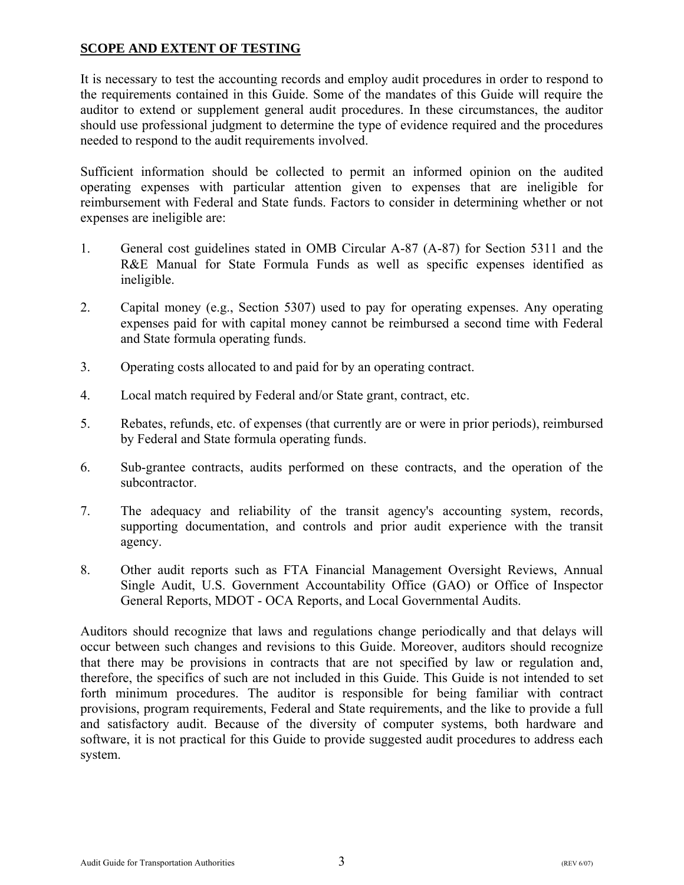# <span id="page-5-0"></span>**SCOPE AND EXTENT OF TESTING**

It is necessary to test the accounting records and employ audit procedures in order to respond to the requirements contained in this Guide. Some of the mandates of this Guide will require the auditor to extend or supplement general audit procedures. In these circumstances, the auditor should use professional judgment to determine the type of evidence required and the procedures needed to respond to the audit requirements involved.

Sufficient information should be collected to permit an informed opinion on the audited operating expenses with particular attention given to expenses that are ineligible for reimbursement with Federal and State funds. Factors to consider in determining whether or not expenses are ineligible are:

- 1. General cost guidelines stated in OMB Circular A-87 (A-87) for Section 5311 and the R&E Manual for State Formula Funds as well as specific expenses identified as ineligible.
- 2. Capital money (e.g., Section 5307) used to pay for operating expenses. Any operating expenses paid for with capital money cannot be reimbursed a second time with Federal and State formula operating funds.
- 3. Operating costs allocated to and paid for by an operating contract.
- 4. Local match required by Federal and/or State grant, contract, etc.
- 5. Rebates, refunds, etc. of expenses (that currently are or were in prior periods), reimbursed by Federal and State formula operating funds.
- 6. Sub-grantee contracts, audits performed on these contracts, and the operation of the subcontractor.
- 7. The adequacy and reliability of the transit agency's accounting system, records, supporting documentation, and controls and prior audit experience with the transit agency.
- 8. Other audit reports such as FTA Financial Management Oversight Reviews, Annual Single Audit, U.S. Government Accountability Office (GAO) or Office of Inspector General Reports, MDOT - OCA Reports, and Local Governmental Audits.

Auditors should recognize that laws and regulations change periodically and that delays will occur between such changes and revisions to this Guide. Moreover, auditors should recognize that there may be provisions in contracts that are not specified by law or regulation and, therefore, the specifics of such are not included in this Guide. This Guide is not intended to set forth minimum procedures. The auditor is responsible for being familiar with contract provisions, program requirements, Federal and State requirements, and the like to provide a full and satisfactory audit. Because of the diversity of computer systems, both hardware and software, it is not practical for this Guide to provide suggested audit procedures to address each system.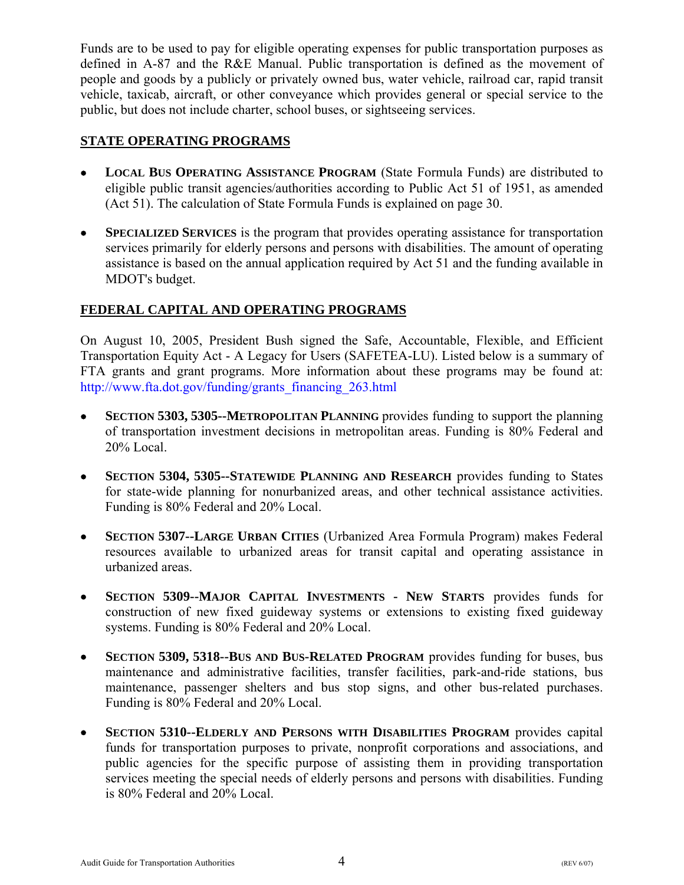<span id="page-6-0"></span>Funds are to be used to pay for eligible operating expenses for public transportation purposes as defined in A-87 and the R&E Manual. Public transportation is defined as the movement of people and goods by a publicly or privately owned bus, water vehicle, railroad car, rapid transit vehicle, taxicab, aircraft, or other conveyance which provides general or special service to the public, but does not include charter, school buses, or sightseeing services.

# **STATE OPERATING PROGRAMS**

- • **LOCAL BUS OPERATING ASSISTANCE PROGRAM** (State Formula Funds) are distributed to eligible public transit agencies/authorities according to Public Act 51 of 1951, as amended (Act 51). The calculation of State Formula Funds is explained on page 30.
- **SPECIALIZED SERVICES** is the program that provides operating assistance for transportation services primarily for elderly persons and persons with disabilities. The amount of operating assistance is based on the annual application required by Act 51 and the funding available in MDOT's budget.

# **FEDERAL CAPITAL AND OPERATING PROGRAMS**

On August 10, 2005, President Bush signed the Safe, Accountable, Flexible, and Efficient Transportation Equity Act - A Legacy for Users (SAFETEA-LU). Listed below is a summary of FTA grants and grant programs. More information about these programs may be found at: [http://www.fta.dot.gov/funding/grants\\_financing\\_263.html](http://www.fta.dot.gov/funding/grants_financing_263.html)

- • **SECTION 5303, 5305--METROPOLITAN PLANNING** provides funding to support the planning of transportation investment decisions in metropolitan areas. Funding is 80% Federal and 20% Local.
- • **SECTION 5304, 5305--STATEWIDE PLANNING AND RESEARCH** provides funding to States for state-wide planning for nonurbanized areas, and other technical assistance activities. Funding is 80% Federal and 20% Local.
- • **SECTION 5307--LARGE URBAN CITIES** (Urbanized Area Formula Program) makes Federal resources available to urbanized areas for transit capital and operating assistance in urbanized areas.
- • **SECTION 5309--MAJOR CAPITAL INVESTMENTS - NEW STARTS** provides funds for construction of new fixed guideway systems or extensions to existing fixed guideway systems. Funding is 80% Federal and 20% Local.
- **SECTION 5309, 5318--BUS AND BUS-RELATED PROGRAM** provides funding for buses, bus maintenance and administrative facilities, transfer facilities, park-and-ride stations, bus maintenance, passenger shelters and bus stop signs, and other bus-related purchases. Funding is 80% Federal and 20% Local.
- • **SECTION 5310--ELDERLY AND PERSONS WITH DISABILITIES PROGRAM** provides capital funds for transportation purposes to private, nonprofit corporations and associations, and public agencies for the specific purpose of assisting them in providing transportation services meeting the special needs of elderly persons and persons with disabilities. Funding is 80% Federal and 20% Local.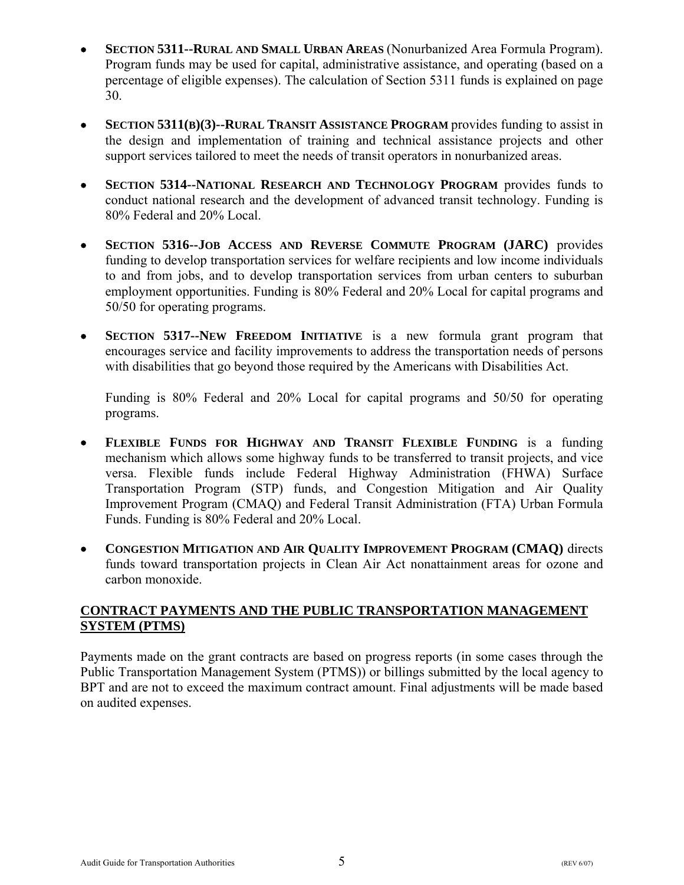- <span id="page-7-0"></span>• **SECTION 5311--RURAL AND SMALL URBAN AREAS** (Nonurbanized Area Formula Program). Program funds may be used for capital, administrative assistance, and operating (based on a percentage of eligible expenses). The calculation of Section 5311 funds is explained on page 30.
- **SECTION 5311(B)(3)--RURAL TRANSIT ASSISTANCE PROGRAM** provides funding to assist in the design and implementation of training and technical assistance projects and other support services tailored to meet the needs of transit operators in nonurbanized areas.
- • **SECTION 5314--NATIONAL RESEARCH AND TECHNOLOGY PROGRAM** provides funds to conduct national research and the development of advanced transit technology. Funding is 80% Federal and 20% Local.
- • **SECTION 5316--JOB ACCESS AND REVERSE COMMUTE PROGRAM (JARC)** provides funding to develop transportation services for welfare recipients and low income individuals to and from jobs, and to develop transportation services from urban centers to suburban employment opportunities. Funding is 80% Federal and 20% Local for capital programs and 50/50 for operating programs.
- **SECTION 5317--NEW FREEDOM INITIATIVE** is a new formula grant program that encourages service and facility improvements to address the transportation needs of persons with disabilities that go beyond those required by the Americans with Disabilities Act.

Funding is 80% Federal and 20% Local for capital programs and 50/50 for operating programs.

- • **FLEXIBLE FUNDS FOR HIGHWAY AND TRANSIT FLEXIBLE FUNDING** is a funding mechanism which allows some highway funds to be transferred to transit projects, and vice versa. Flexible funds include Federal Highway Administration (FHWA) Surface Transportation Program (STP) funds, and Congestion Mitigation and Air Quality Improvement Program (CMAQ) and Federal Transit Administration (FTA) Urban Formula Funds. Funding is 80% Federal and 20% Local.
- • **CONGESTION MITIGATION AND AIR QUALITY IMPROVEMENT PROGRAM (CMAQ)** directs funds toward transportation projects in Clean Air Act nonattainment areas for ozone and carbon monoxide.

# **CONTRACT PAYMENTS AND THE PUBLIC TRANSPORTATION MANAGEMENT SYSTEM (PTMS)**

Payments made on the grant contracts are based on progress reports (in some cases through the Public Transportation Management System (PTMS)) or billings submitted by the local agency to BPT and are not to exceed the maximum contract amount. Final adjustments will be made based on audited expenses.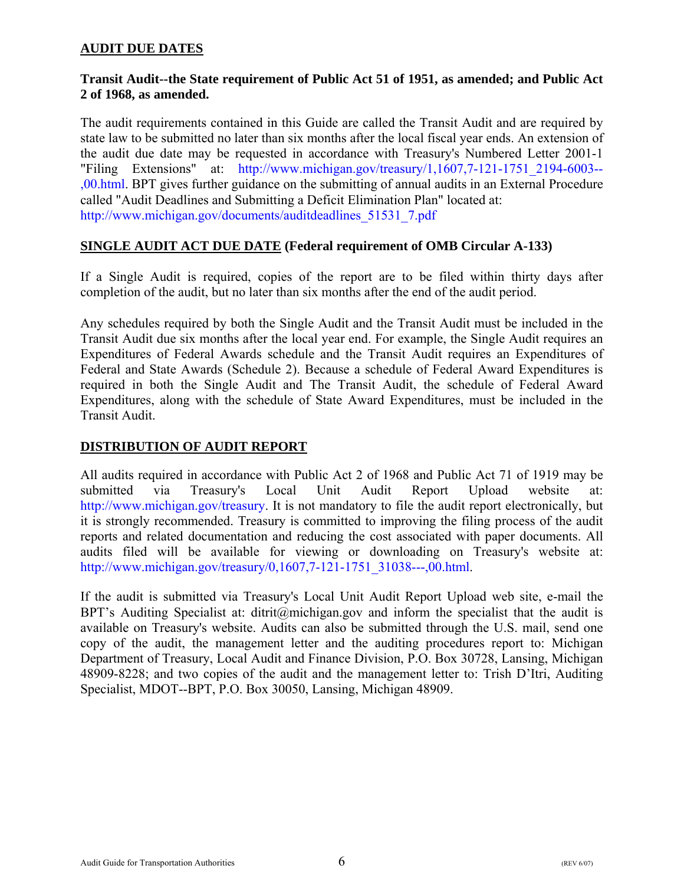# <span id="page-8-0"></span>**AUDIT DUE DATES**

#### **Transit Audit--the State requirement of Public Act 51 of 1951, as amended; and Public Act 2 of 1968, as amended.**

The audit requirements contained in this Guide are called the Transit Audit and are required by state law to be submitted no later than six months after the local fiscal year ends. An extension of the audit due date may be requested in accordance with Treasury's Numbered Letter 2001-1 "Filing Extensions" at: [http://www.michigan.gov/treasury/1,1607,7-121-1751\\_2194-6003--](http://www.michigan.gov/treasury/0%2C1607%2C7-121-1751_2194-6003--%2C00.html) [,00.html.](http://www.michigan.gov/treasury/0%2C1607%2C7-121-1751_2194-6003--%2C00.html) BPT gives further guidance on the submitting of annual audits in an External Procedure called "Audit Deadlines and Submitting a Deficit Elimination Plan" located at: [http://www.michigan.gov/documents/auditdeadlines\\_51531\\_7.pdf](http://www.michigan.gov/documents/auditdeadlines_51531_7.pdf)

# **SINGLE AUDIT ACT DUE DATE (Federal requirement of OMB Circular A-133)**

If a Single Audit is required, copies of the report are to be filed within thirty days after completion of the audit, but no later than six months after the end of the audit period.

Any schedules required by both the Single Audit and the Transit Audit must be included in the Transit Audit due six months after the local year end. For example, the Single Audit requires an Expenditures of Federal Awards schedule and the Transit Audit requires an Expenditures of Federal and State Awards (Schedule 2). Because a schedule of Federal Award Expenditures is required in both the Single Audit and The Transit Audit, the schedule of Federal Award Expenditures, along with the schedule of State Award Expenditures, must be included in the Transit Audit.

#### **DISTRIBUTION OF AUDIT REPORT**

All audits required in accordance with Public Act 2 of 1968 and Public Act 71 of 1919 may be submitted via Treasury's Local Unit Audit Report Upload website at: [http://www.michigan.gov/treasury.](http://www.michigan.gov/treasury) It is not mandatory to file the audit report electronically, but it is strongly recommended. Treasury is committed to improving the filing process of the audit reports and related documentation and reducing the cost associated with paper documents. All audits filed will be available for viewing or downloading on Treasury's website at: [http://www.michigan.gov/treasury/0,1607,7-121-1751\\_31038---,00.html.](http://www.michigan.gov/treasury/0%2C1607%2C7-121-1751_31038--%2C00.html) 

If the audit is submitted via Treasury's Local Unit Audit Report Upload web site, e-mail the BPT's Auditing Specialist at: ditrit@michigan.gov and inform the specialist that the audit is available on Treasury's website. Audits can also be submitted through the U.S. mail, send one copy of the audit, the management letter and the auditing procedures report to: Michigan Department of Treasury, Local Audit and Finance Division, P.O. Box 30728, Lansing, Michigan 48909-8228; and two copies of the audit and the management letter to: Trish D'Itri, Auditing Specialist, MDOT--BPT, P.O. Box 30050, Lansing, Michigan 48909.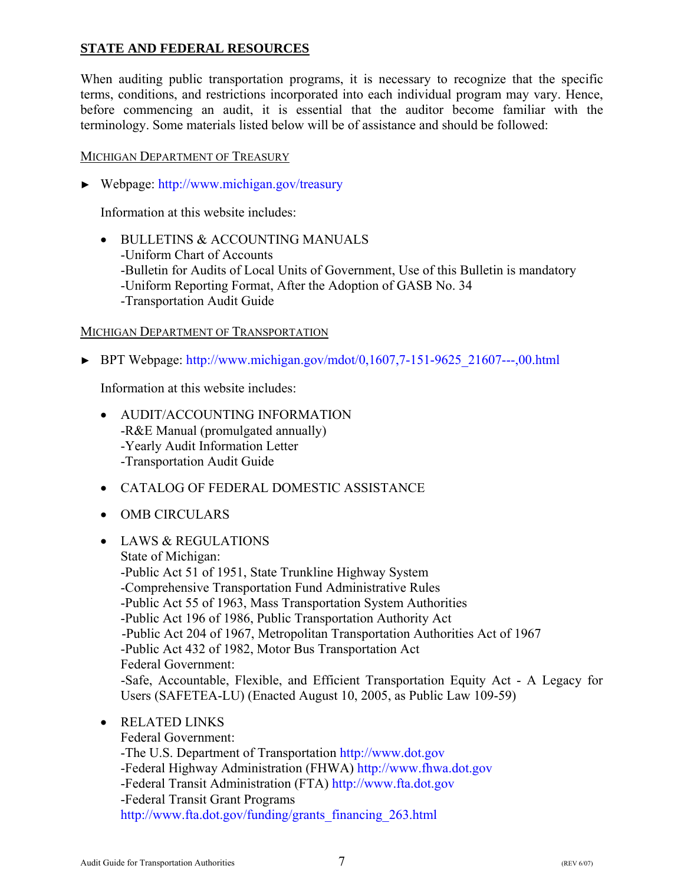# <span id="page-9-0"></span>**STATE AND FEDERAL RESOURCES**

When auditing public transportation programs, it is necessary to recognize that the specific terms, conditions, and restrictions incorporated into each individual program may vary. Hence, before commencing an audit, it is essential that the auditor become familiar with the terminology. Some materials listed below will be of assistance and should be followed:

# MICHIGAN DEPARTMENT OF TREASURY

► Webpage:<http://www.michigan.gov/treasury>

Information at this website includes:

• BULLETINS & ACCOUNTING MANUALS -Uniform Chart of Accounts -Bulletin for Audits of Local Units of Government, Use of this Bulletin is mandatory -Uniform Reporting Format, After the Adoption of GASB No. 34 -Transportation Audit Guide

# MICHIGAN DEPARTMENT OF TRANSPORTATION

► BPT Webpage: [http://www.michigan.gov/mdot/0,1607,7-151-9625\\_21607---,00.html](http://www.michigan.gov/mdot/0%2C1607%2C7-151-9625_21607---%2C00.html)

Information at this website includes:

- AUDIT/ACCOUNTING INFORMATION -R&E Manual (promulgated annually) -Yearly Audit Information Letter -Transportation Audit Guide
- CATALOG OF FEDERAL DOMESTIC ASSISTANCE
- OMB CIRCULARS
- LAWS & REGULATIONS State of Michigan: -Public Act 51 of 1951, State Trunkline Highway System -Comprehensive Transportation Fund Administrative Rules -Public Act 55 of 1963, Mass Transportation System Authorities -Public Act 196 of 1986, Public Transportation Authority Act -Public Act 204 of 1967, Metropolitan Transportation Authorities Act of 1967 -Public Act 432 of 1982, Motor Bus Transportation Act Federal Government: -Safe, Accountable, Flexible, and Efficient Transportation Equity Act - A Legacy for Users (SAFETEA-LU) (Enacted August 10, 2005, as Public Law 109-59) • RELATED LINKS
	- - Federal Government: -The U.S. Department of Transportation<http://www.dot.gov> -Federal Highway Administration (FHWA)<http://www.fhwa.dot.gov> -Federal Transit Administration (FTA)<http://www.fta.dot.gov> -Federal Transit Grant Programs [http://www.fta.dot.gov/funding/grants\\_financing\\_263.html](http://www.fta.dot.gov/funding/grants_financing_263.html)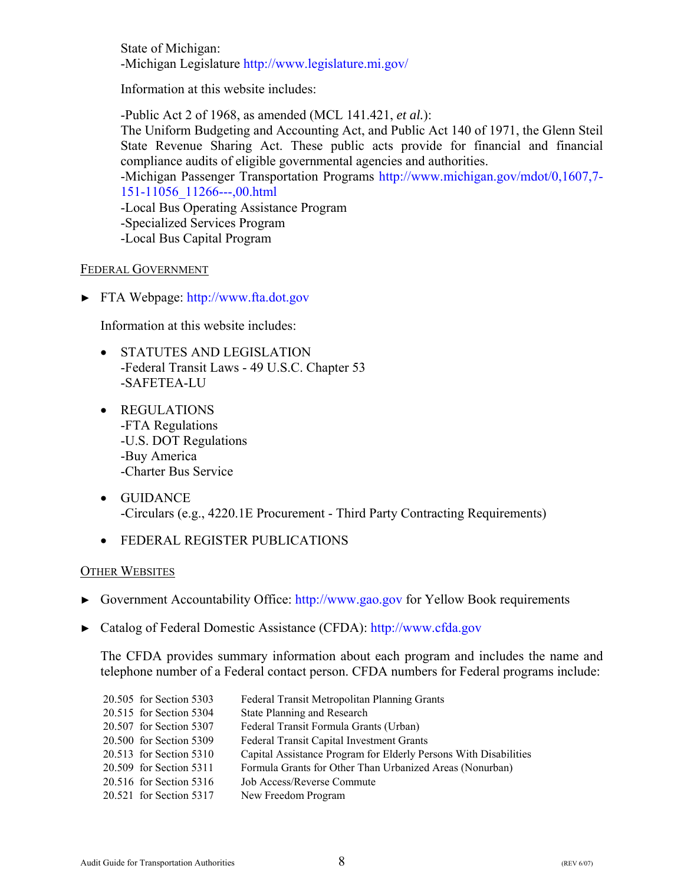State of Michigan: -Michigan Legislatur[e http://www.legislature.mi.gov/](http://www.legislature.mi.gov/)

Information at this website includes:

-Public Act 2 of 1968, as amended (MCL 141.421, *et al.*):

The Uniform Budgeting and Accounting Act, and Public Act 140 of 1971, the Glenn Steil State Revenue Sharing Act. These public acts provide for financial and financial compliance audits of eligible governmental agencies and authorities.

-Michigan Passenger Transportation Programs [http://www.michigan.gov/mdot/0,1607,7-](http://www.michigan.gov/mdot/0%2C1607%2C7-151-11056_11266---%2C00.html) [151-11056\\_11266---,00.html](http://www.michigan.gov/mdot/0%2C1607%2C7-151-11056_11266---%2C00.html)

-Local Bus Operating Assistance Program

-Specialized Services Program

-Local Bus Capital Program

# FEDERAL GOVERNMENT

► FTA Webpage:<http://www.fta.dot.gov>

Information at this website includes:

- STATUTES AND LEGISLATION -Federal Transit Laws - 49 U.S.C. Chapter 53 -SAFETEA-LU
- REGULATIONS -FTA Regulations -U.S. DOT Regulations -Buy America -Charter Bus Service
- GUIDANCE -Circulars (e.g., 4220.1E Procurement - Third Party Contracting Requirements)
- FEDERAL REGISTER PUBLICATIONS

#### OTHER WEBSITES

- ► Government Accountability Office:<http://www.gao.gov>for Yellow Book requirements
- ► Catalog of Federal Domestic Assistance (CFDA)[: http://www.cfda.gov](http://www.cfda.gov)

The CFDA provides summary information about each program and includes the name and telephone number of a Federal contact person. CFDA numbers for Federal programs include:

| 20.505 for Section 5303 | Federal Transit Metropolitan Planning Grants                     |
|-------------------------|------------------------------------------------------------------|
| 20.515 for Section 5304 | State Planning and Research                                      |
| 20.507 for Section 5307 | Federal Transit Formula Grants (Urban)                           |
| 20.500 for Section 5309 | <b>Federal Transit Capital Investment Grants</b>                 |
| 20.513 for Section 5310 | Capital Assistance Program for Elderly Persons With Disabilities |
| 20.509 for Section 5311 | Formula Grants for Other Than Urbanized Areas (Nonurban)         |
| 20.516 for Section 5316 | <b>Job Access/Reverse Commute</b>                                |
| 20.521 for Section 5317 | New Freedom Program                                              |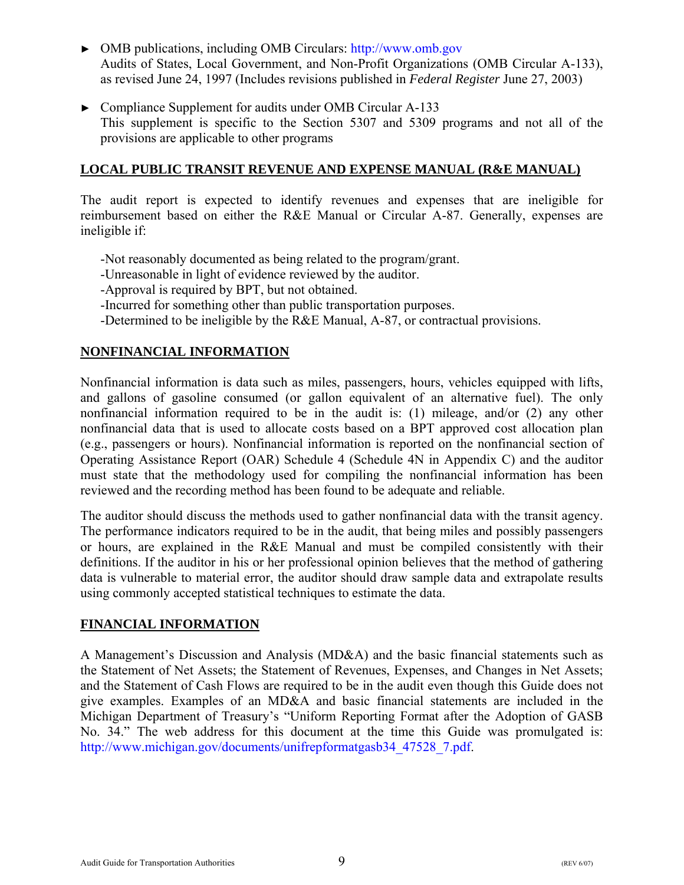- <span id="page-11-0"></span>► OMB publications, including OMB Circulars[: http://www.omb.gov](http://www.omb.gov) Audits of States, Local Government, and Non-Profit Organizations (OMB Circular A-133), as revised June 24, 1997 (Includes revisions published in *Federal Register* June 27, 2003)
- ► Compliance Supplement for audits under OMB Circular A-133 This supplement is specific to the Section 5307 and 5309 programs and not all of the provisions are applicable to other programs

# **LOCAL PUBLIC TRANSIT REVENUE AND EXPENSE MANUAL (R&E MANUAL)**

The audit report is expected to identify revenues and expenses that are ineligible for reimbursement based on either the R&E Manual or Circular A-87. Generally, expenses are ineligible if:

- -Not reasonably documented as being related to the program/grant.
- -Unreasonable in light of evidence reviewed by the auditor.
- -Approval is required by BPT, but not obtained.
- -Incurred for something other than public transportation purposes.
- -Determined to be ineligible by the R&E Manual, A-87, or contractual provisions.

# **NONFINANCIAL INFORMATION**

Nonfinancial information is data such as miles, passengers, hours, vehicles equipped with lifts, and gallons of gasoline consumed (or gallon equivalent of an alternative fuel). The only nonfinancial information required to be in the audit is: (1) mileage, and/or (2) any other nonfinancial data that is used to allocate costs based on a BPT approved cost allocation plan (e.g., passengers or hours). Nonfinancial information is reported on the nonfinancial section of Operating Assistance Report (OAR) Schedule 4 (Schedule 4N in Appendix C) and the auditor must state that the methodology used for compiling the nonfinancial information has been reviewed and the recording method has been found to be adequate and reliable.

The auditor should discuss the methods used to gather nonfinancial data with the transit agency. The performance indicators required to be in the audit, that being miles and possibly passengers or hours, are explained in the R&E Manual and must be compiled consistently with their definitions. If the auditor in his or her professional opinion believes that the method of gathering data is vulnerable to material error, the auditor should draw sample data and extrapolate results using commonly accepted statistical techniques to estimate the data.

#### **FINANCIAL INFORMATION**

A Management's Discussion and Analysis (MD&A) and the basic financial statements such as the Statement of Net Assets; the Statement of Revenues, Expenses, and Changes in Net Assets; and the Statement of Cash Flows are required to be in the audit even though this Guide does not give examples. Examples of an MD&A and basic financial statements are included in the Michigan Department of Treasury's "Uniform Reporting Format after the Adoption of GASB No. 34." The web address for this document at the time this Guide was promulgated is: [http://www.michigan.gov/documents/unifrepformatgasb34\\_47528\\_7.pdf.](http://www.michigan.gov/documents/unifrepformatgasb34_47528_7.PDF)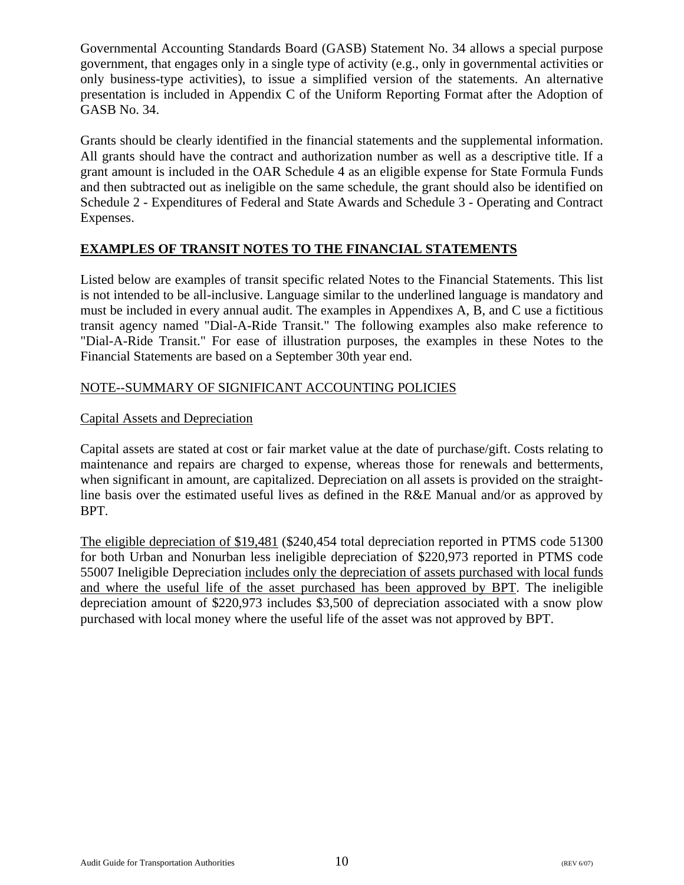Governmental Accounting Standards Board (GASB) Statement No. 34 allows a special purpose government, that engages only in a single type of activity (e.g., only in governmental activities or only business-type activities), to issue a simplified version of the statements. An alternative presentation is included in Appendix C of the Uniform Reporting Format after the Adoption of GASB No. 34.

Grants should be clearly identified in the financial statements and the supplemental information. All grants should have the contract and authorization number as well as a descriptive title. If a grant amount is included in the OAR Schedule 4 as an eligible expense for State Formula Funds and then subtracted out as ineligible on the same schedule, the grant should also be identified on Schedule 2 - Expenditures of Federal and State Awards and Schedule 3 - Operating and Contract Expenses.

# **EXAMPLES OF TRANSIT NOTES TO THE FINANCIAL STATEMENTS**

Listed below are examples of transit specific related Notes to the Financial Statements. This list is not intended to be all-inclusive. Language similar to the underlined language is mandatory and must be included in every annual audit. The examples in Appendixes A, B, and C use a fictitious transit agency named "Dial-A-Ride Transit." The following examples also make reference to "Dial-A-Ride Transit." For ease of illustration purposes, the examples in these Notes to the Financial Statements are based on a September 30th year end.

# NOTE--SUMMARY OF SIGNIFICANT ACCOUNTING POLICIES

# Capital Assets and Depreciation

Capital assets are stated at cost or fair market value at the date of purchase/gift. Costs relating to maintenance and repairs are charged to expense, whereas those for renewals and betterments, when significant in amount, are capitalized. Depreciation on all assets is provided on the straightline basis over the estimated useful lives as defined in the R&E Manual and/or as approved by BPT.

The eligible depreciation of \$19,481 (\$240,454 total depreciation reported in PTMS code 51300 for both Urban and Nonurban less ineligible depreciation of \$220,973 reported in PTMS code 55007 Ineligible Depreciation includes only the depreciation of assets purchased with local funds and where the useful life of the asset purchased has been approved by BPT. The ineligible depreciation amount of \$220,973 includes \$3,500 of depreciation associated with a snow plow purchased with local money where the useful life of the asset was not approved by BPT.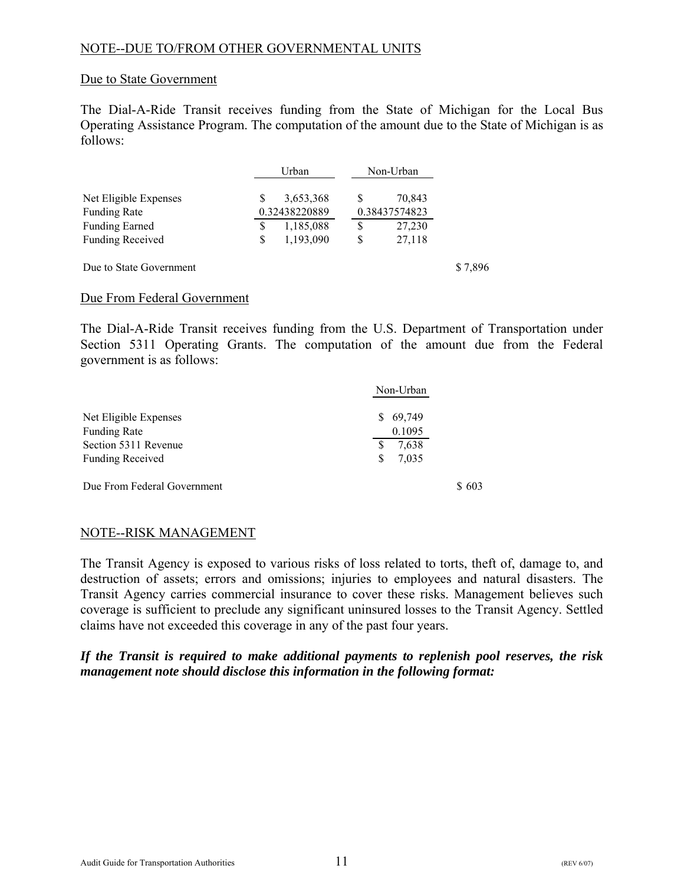# NOTE--DUE TO/FROM OTHER GOVERNMENTAL UNITS

#### Due to State Government

The Dial-A-Ride Transit receives funding from the State of Michigan for the Local Bus Operating Assistance Program. The computation of the amount due to the State of Michigan is as follows:

|                         |   | Urban         | Non-Urban     |         |
|-------------------------|---|---------------|---------------|---------|
| Net Eligible Expenses   |   | 3,653,368     | 70,843        |         |
| <b>Funding Rate</b>     |   | 0.32438220889 | 0.38437574823 |         |
| <b>Funding Earned</b>   | S | 1,185,088     | \$<br>27,230  |         |
| <b>Funding Received</b> | S | 1,193,090     | \$<br>27,118  |         |
| Due to State Government |   |               |               | \$7,896 |

#### Due From Federal Government

The Dial-A-Ride Transit receives funding from the U.S. Department of Transportation under Section 5311 Operating Grants. The computation of the amount due from the Federal government is as follows:

|                             | Non-Urban    |
|-----------------------------|--------------|
| Net Eligible Expenses       | 69,749<br>S. |
| <b>Funding Rate</b>         | 0.1095       |
| Section 5311 Revenue        | 7,638<br>S   |
| <b>Funding Received</b>     | 7,035<br>S   |
| Due From Federal Government | 603          |

#### NOTE--RISK MANAGEMENT

The Transit Agency is exposed to various risks of loss related to torts, theft of, damage to, and destruction of assets; errors and omissions; injuries to employees and natural disasters. The Transit Agency carries commercial insurance to cover these risks. Management believes such coverage is sufficient to preclude any significant uninsured losses to the Transit Agency. Settled claims have not exceeded this coverage in any of the past four years.

*If the Transit is required to make additional payments to replenish pool reserves, the risk management note should disclose this information in the following format:*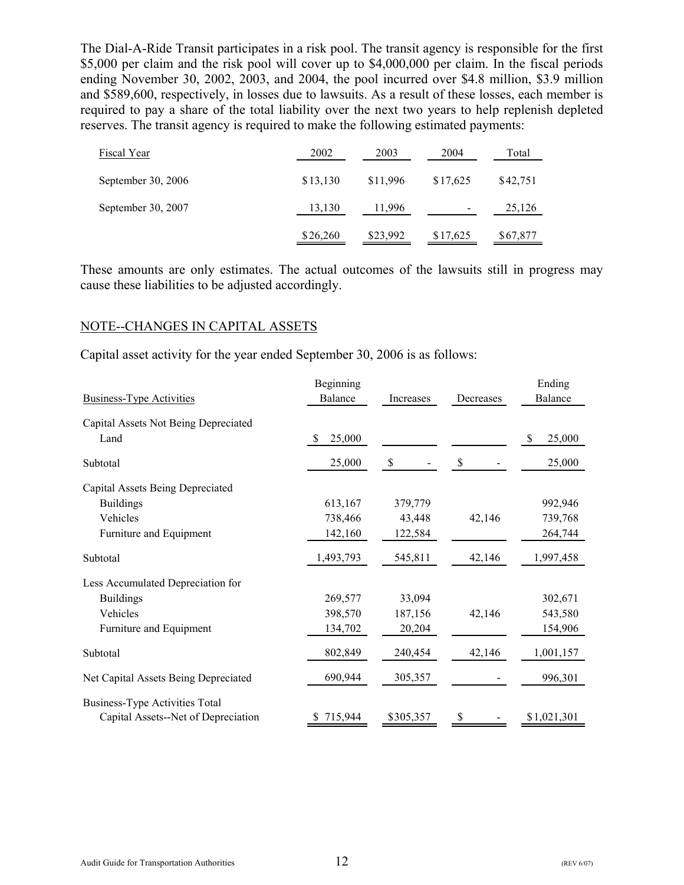The Dial-A-Ride Transit participates in a risk pool. The transit agency is responsible for the first \$5,000 per claim and the risk pool will cover up to \$4,000,000 per claim. In the fiscal periods ending November 30, 2002, 2003, and 2004, the pool incurred over \$4.8 million, \$3.9 million and \$589,600, respectively, in losses due to lawsuits. As a result of these losses, each member is required to pay a share of the total liability over the next two years to help replenish depleted reserves. The transit agency is required to make the following estimated payments:

| Fiscal Year        | 2002     | 2003     | 2004     | Total    |
|--------------------|----------|----------|----------|----------|
| September 30, 2006 | \$13,130 | \$11,996 | \$17,625 | \$42,751 |
| September 30, 2007 | 13,130   | 11,996   |          | 25,126   |
|                    | \$26,260 | \$23,992 | \$17,625 | \$67,877 |

These amounts are only estimates. The actual outcomes of the lawsuits still in progress may cause these liabilities to be adjusted accordingly.

#### NOTE--CHANGES IN CAPITAL ASSETS

Capital asset activity for the year ended September 30, 2006 is as follows:

|                                       | Beginning |               |              | Ending      |
|---------------------------------------|-----------|---------------|--------------|-------------|
| <b>Business-Type Activities</b>       | Balance   | Increases     | Decreases    | Balance     |
| Capital Assets Not Being Depreciated  |           |               |              |             |
| Land                                  | 25,000    |               |              | 25,000<br>S |
| Subtotal                              | 25,000    | $\mathcal{S}$ | $\mathbb{S}$ | 25,000      |
| Capital Assets Being Depreciated      |           |               |              |             |
| <b>Buildings</b>                      | 613,167   | 379,779       |              | 992,946     |
| Vehicles                              | 738,466   | 43,448        | 42,146       | 739,768     |
| Furniture and Equipment               | 142,160   | 122,584       |              | 264,744     |
| Subtotal                              | 1,493,793 | 545,811       | 42,146       | 1,997,458   |
| Less Accumulated Depreciation for     |           |               |              |             |
| <b>Buildings</b>                      | 269,577   | 33,094        |              | 302,671     |
| Vehicles                              | 398,570   | 187,156       | 42,146       | 543,580     |
| Furniture and Equipment               | 134,702   | 20,204        |              | 154,906     |
| Subtotal                              | 802,849   | 240,454       | 42,146       | 1,001,157   |
| Net Capital Assets Being Depreciated  | 690,944   | 305,357       |              | 996,301     |
| <b>Business-Type Activities Total</b> |           |               |              |             |
| Capital Assets--Net of Depreciation   | \$715,944 | \$305,357     | \$           | \$1,021,301 |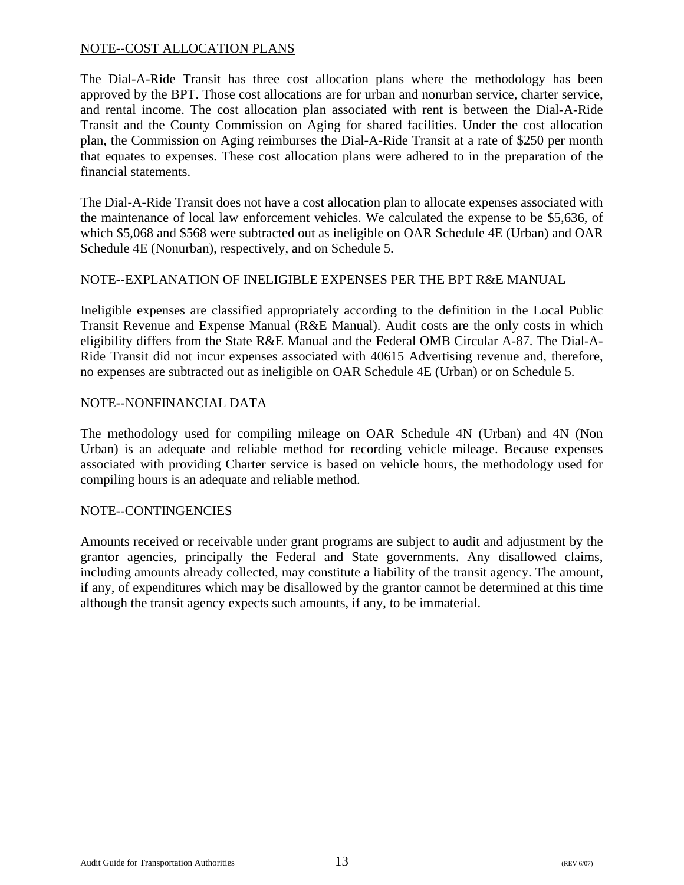# NOTE--COST ALLOCATION PLANS

The Dial-A-Ride Transit has three cost allocation plans where the methodology has been approved by the BPT. Those cost allocations are for urban and nonurban service, charter service, and rental income. The cost allocation plan associated with rent is between the Dial-A-Ride Transit and the County Commission on Aging for shared facilities. Under the cost allocation plan, the Commission on Aging reimburses the Dial-A-Ride Transit at a rate of \$250 per month that equates to expenses. These cost allocation plans were adhered to in the preparation of the financial statements.

The Dial-A-Ride Transit does not have a cost allocation plan to allocate expenses associated with the maintenance of local law enforcement vehicles. We calculated the expense to be \$5,636, of which \$5,068 and \$568 were subtracted out as ineligible on OAR Schedule 4E (Urban) and OAR Schedule 4E (Nonurban), respectively, and on Schedule 5.

# NOTE--EXPLANATION OF INELIGIBLE EXPENSES PER THE BPT R&E MANUAL

Ineligible expenses are classified appropriately according to the definition in the Local Public Transit Revenue and Expense Manual (R&E Manual). Audit costs are the only costs in which eligibility differs from the State R&E Manual and the Federal OMB Circular A-87. The Dial-A-Ride Transit did not incur expenses associated with 40615 Advertising revenue and, therefore, no expenses are subtracted out as ineligible on OAR Schedule 4E (Urban) or on Schedule 5.

# NOTE--NONFINANCIAL DATA

The methodology used for compiling mileage on OAR Schedule 4N (Urban) and 4N (Non Urban) is an adequate and reliable method for recording vehicle mileage. Because expenses associated with providing Charter service is based on vehicle hours, the methodology used for compiling hours is an adequate and reliable method.

#### NOTE--CONTINGENCIES

Amounts received or receivable under grant programs are subject to audit and adjustment by the grantor agencies, principally the Federal and State governments. Any disallowed claims, including amounts already collected, may constitute a liability of the transit agency. The amount, if any, of expenditures which may be disallowed by the grantor cannot be determined at this time although the transit agency expects such amounts, if any, to be immaterial.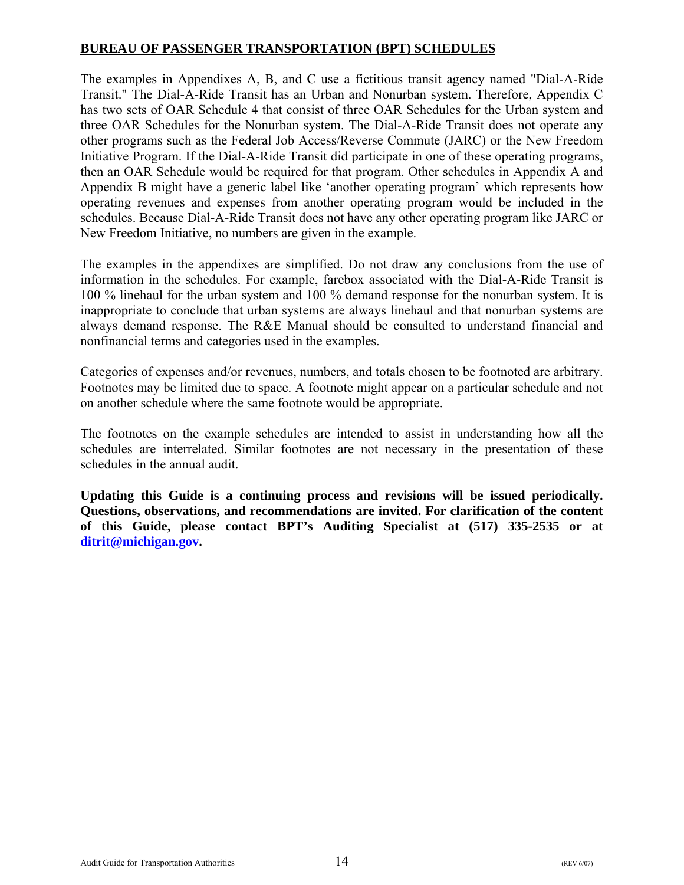# <span id="page-16-0"></span>**BUREAU OF PASSENGER TRANSPORTATION (BPT) SCHEDULES**

The examples in Appendixes A, B, and C use a fictitious transit agency named "Dial-A-Ride Transit." The Dial-A-Ride Transit has an Urban and Nonurban system. Therefore, Appendix C has two sets of OAR Schedule 4 that consist of three OAR Schedules for the Urban system and three OAR Schedules for the Nonurban system. The Dial-A-Ride Transit does not operate any other programs such as the Federal Job Access/Reverse Commute (JARC) or the New Freedom Initiative Program. If the Dial-A-Ride Transit did participate in one of these operating programs, then an OAR Schedule would be required for that program. Other schedules in Appendix A and Appendix B might have a generic label like 'another operating program' which represents how operating revenues and expenses from another operating program would be included in the schedules. Because Dial-A-Ride Transit does not have any other operating program like JARC or New Freedom Initiative, no numbers are given in the example.

The examples in the appendixes are simplified. Do not draw any conclusions from the use of information in the schedules. For example, farebox associated with the Dial-A-Ride Transit is 100 % linehaul for the urban system and 100 % demand response for the nonurban system. It is inappropriate to conclude that urban systems are always linehaul and that nonurban systems are always demand response. The R&E Manual should be consulted to understand financial and nonfinancial terms and categories used in the examples.

Categories of expenses and/or revenues, numbers, and totals chosen to be footnoted are arbitrary. Footnotes may be limited due to space. A footnote might appear on a particular schedule and not on another schedule where the same footnote would be appropriate.

The footnotes on the example schedules are intended to assist in understanding how all the schedules are interrelated. Similar footnotes are not necessary in the presentation of these schedules in the annual audit.

**Updating this Guide is a continuing process and revisions will be issued periodically. Questions, observations, and recommendations are invited. For clarification of the content of this Guide, please contact BPT's Auditing Specialist at (517) 335-2535 or at [ditrit@michigan.gov.](mailto:ditrit@michigan.gov)**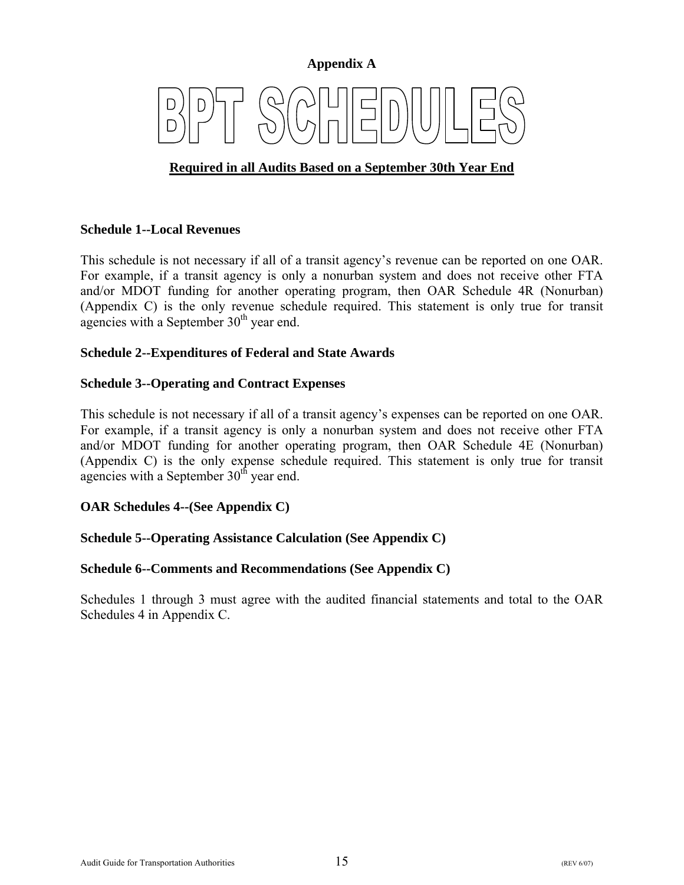#### **Appendix A**

# <span id="page-17-0"></span>**Required in all Audits Based on a September 30th Year End**

#### **Schedule 1--Local Revenues**

This schedule is not necessary if all of a transit agency's revenue can be reported on one OAR. For example, if a transit agency is only a nonurban system and does not receive other FTA and/or MDOT funding for another operating program, then OAR Schedule 4R (Nonurban) (Appendix C) is the only revenue schedule required. This statement is only true for transit agencies with a September  $30<sup>th</sup>$  year end.

#### **Schedule 2--Expenditures of Federal and State Awards**

#### **Schedule 3--Operating and Contract Expenses**

This schedule is not necessary if all of a transit agency's expenses can be reported on one OAR. For example, if a transit agency is only a nonurban system and does not receive other FTA and/or MDOT funding for another operating program, then OAR Schedule 4E (Nonurban) (Appendix C) is the only expense schedule required. This statement is only true for transit agencies with a September  $30<sup>th</sup>$  year end.

#### **OAR Schedules 4--(See Appendix C)**

#### **Schedule 5--Operating Assistance Calculation (See Appendix C)**

#### **Schedule 6--Comments and Recommendations (See Appendix C)**

Schedules 1 through 3 must agree with the audited financial statements and total to the OAR Schedules 4 in Appendix C.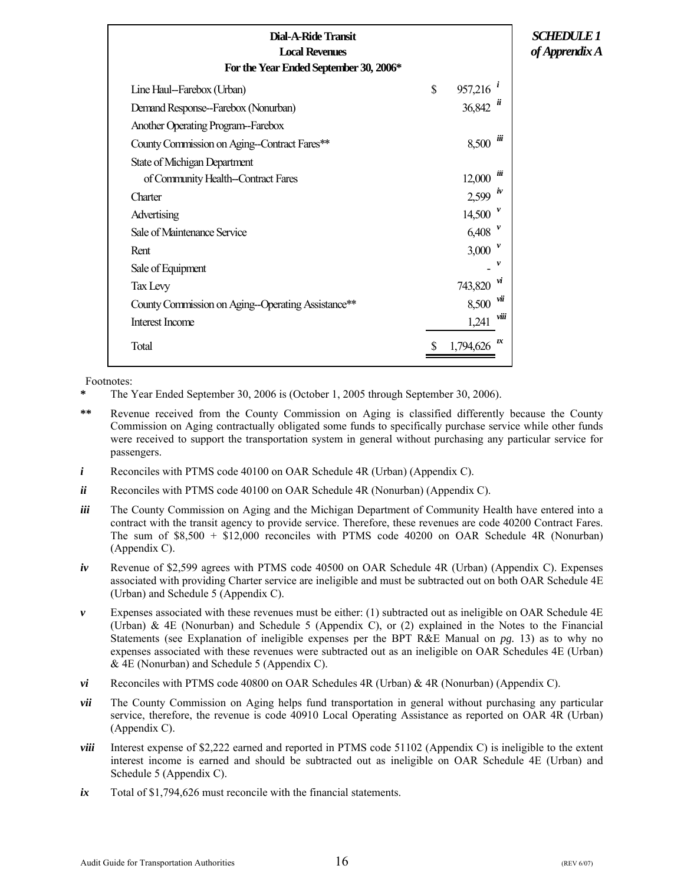<span id="page-18-0"></span>

| Dial-A-Ride Transit<br><b>Local Revenues</b><br>For the Year Ended September 30, 2006* |                              |      | <i>SCHEDULE 1</i><br>of Apprendix A |
|----------------------------------------------------------------------------------------|------------------------------|------|-------------------------------------|
| Line Haul-Farebox (Urban)                                                              | \$<br>$957,216$ <sup>i</sup> |      |                                     |
| Demand Response-Farebox (Nonurban)                                                     | 36,842                       |      |                                     |
| Another Operating Program-Farebox                                                      |                              |      |                                     |
| County Commission on Aging--Contract Fares**                                           | 8,500                        | üї   |                                     |
| <b>State of Michigan Department</b>                                                    |                              |      |                                     |
| of Community Health--Contract Fares                                                    | 12,000                       | ш    |                                     |
| Charter                                                                                | 2,599                        | iv   |                                     |
| Advertising                                                                            | 14,500                       |      |                                     |
| Sale of Maintenance Service                                                            | 6,408                        |      |                                     |
| Rent                                                                                   | 3,000                        |      |                                     |
| Sale of Equipment                                                                      |                              | v    |                                     |
| Tax Levy                                                                               | 743,820                      | п    |                                     |
| County Commission on Aging--Operating Assistance**                                     | 8,500                        | vи   |                                     |
| Interest Income                                                                        | 1,241                        | viii |                                     |
| Total                                                                                  | 1,794,626                    | ıx   |                                     |

- **\*** The Year Ended September 30, 2006 is (October 1, 2005 through September 30, 2006).
- **\*\*** Revenue received from the County Commission on Aging is classified differently because the County Commission on Aging contractually obligated some funds to specifically purchase service while other funds were received to support the transportation system in general without purchasing any particular service for passengers.
- *i* Reconciles with PTMS code 40100 on OAR Schedule 4R (Urban) (Appendix C).
- *ii* Reconciles with PTMS code 40100 on OAR Schedule 4R (Nonurban) (Appendix C).
- *iii* The County Commission on Aging and the Michigan Department of Community Health have entered into a contract with the transit agency to provide service. Therefore, these revenues are code 40200 Contract Fares. The sum of \$8,500 + \$12,000 reconciles with PTMS code 40200 on OAR Schedule 4R (Nonurban) (Appendix C).
- *iv* Revenue of \$2,599 agrees with PTMS code 40500 on OAR Schedule 4R (Urban) (Appendix C). Expenses associated with providing Charter service are ineligible and must be subtracted out on both OAR Schedule 4E (Urban) and Schedule 5 (Appendix C).
- *v* Expenses associated with these revenues must be either: (1) subtracted out as ineligible on OAR Schedule 4E (Urban) & 4E (Nonurban) and Schedule 5 (Appendix C), or (2) explained in the Notes to the Financial Statements (see Explanation of ineligible expenses per the BPT R&E Manual on *pg.* 13) as to why no expenses associated with these revenues were subtracted out as an ineligible on OAR Schedules 4E (Urban) & 4E (Nonurban) and Schedule 5 (Appendix C).
- *vi* Reconciles with PTMS code 40800 on OAR Schedules 4R (Urban) & 4R (Nonurban) (Appendix C).
- *vii* The County Commission on Aging helps fund transportation in general without purchasing any particular service, therefore, the revenue is code 40910 Local Operating Assistance as reported on OAR 4R (Urban) (Appendix C).
- *viii* Interest expense of \$2,222 earned and reported in PTMS code 51102 (Appendix C) is ineligible to the extent interest income is earned and should be subtracted out as ineligible on OAR Schedule 4E (Urban) and Schedule 5 (Appendix C).
- *ix* Total of \$1,794,626 must reconcile with the financial statements.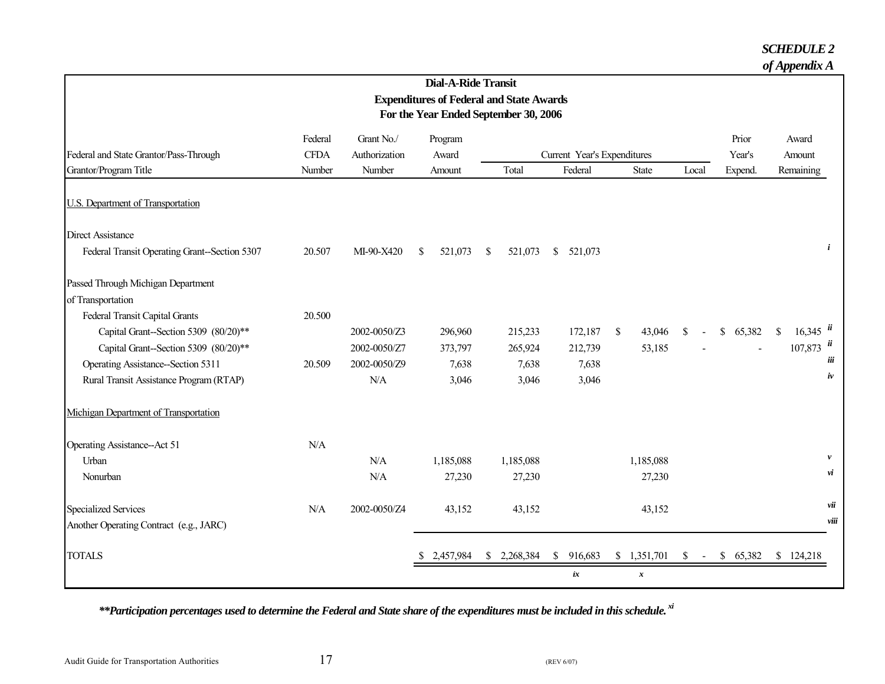#### *SCHEDULE 2*

|                                              |             |               | <b>Dial-A-Ride Transit</b> |                                                 |                             |                        |                         |              |                                     |
|----------------------------------------------|-------------|---------------|----------------------------|-------------------------------------------------|-----------------------------|------------------------|-------------------------|--------------|-------------------------------------|
|                                              |             |               |                            | <b>Expenditures of Federal and State Awards</b> |                             |                        |                         |              |                                     |
|                                              |             |               |                            | For the Year Ended September 30, 2006           |                             |                        |                         |              |                                     |
|                                              | Federal     | Grant No./    | Program                    |                                                 |                             |                        |                         | Prior        | Award                               |
| Federal and State Grantor/Pass-Through       | <b>CFDA</b> | Authorization | Award                      |                                                 | Current Year's Expenditures |                        |                         | Year's       | Amount                              |
| Grantor/Program Title                        | Number      | Number        | Amount                     | Total                                           | Federal                     | <b>State</b>           | Local                   | Expend.      | Remaining                           |
| <b>U.S. Department of Transportation</b>     |             |               |                            |                                                 |                             |                        |                         |              |                                     |
| <b>Direct Assistance</b>                     |             |               |                            |                                                 |                             |                        |                         |              |                                     |
| Federal Transit Operating Grant-Section 5307 | 20.507      | MI-90-X420    | 521,073<br><sup>\$</sup>   | -S<br>521,073                                   | <sup>\$</sup><br>521,073    |                        |                         |              | $\mathbf{i}$                        |
| Passed Through Michigan Department           |             |               |                            |                                                 |                             |                        |                         |              |                                     |
| of Transportation                            |             |               |                            |                                                 |                             |                        |                         |              |                                     |
| Federal Transit Capital Grants               | 20.500      |               |                            |                                                 |                             |                        |                         |              |                                     |
| Capital Grant-Section 5309 (80/20)**         |             | 2002-0050/Z3  | 296,960                    | 215,233                                         | 172,187                     | $\mathbb{S}$<br>43,046 | <sup>\$</sup>           | \$<br>65,382 | $16,345$ $\ddot{u}$<br>$\mathbb{S}$ |
| Capital Grant--Section 5309 (80/20)**        |             | 2002-0050/Z7  | 373,797                    | 265,924                                         | 212,739                     | 53,185                 |                         |              | $107,873$ $\ddot{u}$                |
| Operating Assistance--Section 5311           | 20.509      | 2002-0050/Z9  | 7,638                      | 7,638                                           | 7,638                       |                        |                         |              | iii                                 |
| Rural Transit Assistance Program (RTAP)      |             | N/A           | 3,046                      | 3,046                                           | 3,046                       |                        |                         |              | iv                                  |
| Michigan Department of Transportation        |             |               |                            |                                                 |                             |                        |                         |              |                                     |
| Operating Assistance--Act 51                 | N/A         |               |                            |                                                 |                             |                        |                         |              |                                     |
| Urban                                        |             | N/A           | 1,185,088                  | 1,185,088                                       |                             | 1,185,088              |                         |              | $\boldsymbol{\nu}$                  |
| Nonurban                                     |             | $\rm N\!/\!A$ | 27,230                     | 27,230                                          |                             | 27,230                 |                         |              | vi                                  |
| <b>Specialized Services</b>                  | N/A         | 2002-0050/Z4  | 43,152                     | 43,152                                          |                             | 43,152                 |                         |              | νü                                  |
| Another Operating Contract (e.g., JARC)      |             |               |                            |                                                 |                             |                        |                         |              | viii                                |
| <b>TOTALS</b>                                |             |               | 2,457,984                  | \$ 2,268,384                                    | \$916,683                   | \$1,351,701            | $\mathcal{S}$<br>$\sim$ | \$65,382     | \$124,218                           |
|                                              |             |               |                            |                                                 | ix                          | $\boldsymbol{x}$       |                         |              |                                     |

<span id="page-19-0"></span>*\*\*Participation percentages used to determine the Federal and State share of the expenditures must be included in this schedule. xi*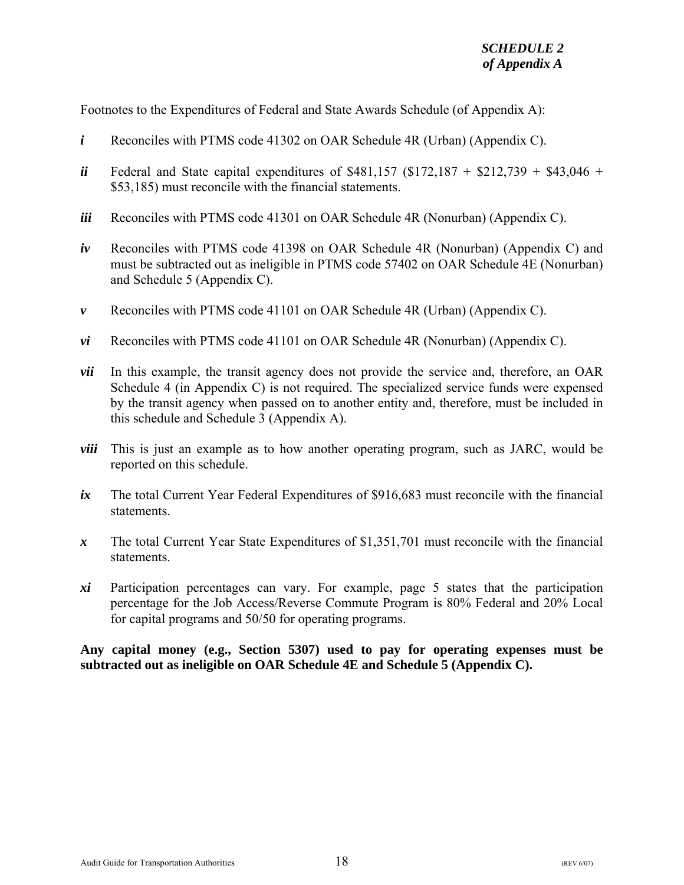Footnotes to the Expenditures of Federal and State Awards Schedule (of Appendix A):

- *i* Reconciles with PTMS code 41302 on OAR Schedule 4R (Urban) (Appendix C).
- *ii* Federal and State capital expenditures of \$481,157 (\$172,187 + \$212,739 + \$43,046 + \$53,185) must reconcile with the financial statements.
- *iii* Reconciles with PTMS code 41301 on OAR Schedule 4R (Nonurban) (Appendix C).
- *iv* Reconciles with PTMS code 41398 on OAR Schedule 4R (Nonurban) (Appendix C) and must be subtracted out as ineligible in PTMS code 57402 on OAR Schedule 4E (Nonurban) and Schedule 5 (Appendix C).
- *v* Reconciles with PTMS code 41101 on OAR Schedule 4R (Urban) (Appendix C).
- *vi* Reconciles with PTMS code 41101 on OAR Schedule 4R (Nonurban) (Appendix C).
- *vii* In this example, the transit agency does not provide the service and, therefore, an OAR Schedule 4 (in Appendix C) is not required. The specialized service funds were expensed by the transit agency when passed on to another entity and, therefore, must be included in this schedule and Schedule 3 (Appendix A).
- *viii* This is just an example as to how another operating program, such as JARC, would be reported on this schedule.
- *ix* The total Current Year Federal Expenditures of \$916,683 must reconcile with the financial statements.
- *x* The total Current Year State Expenditures of \$1,351,701 must reconcile with the financial statements.
- *xi* Participation percentages can vary. For example, page 5 states that the participation percentage for the Job Access/Reverse Commute Program is 80% Federal and 20% Local for capital programs and 50/50 for operating programs.

**Any capital money (e.g., Section 5307) used to pay for operating expenses must be subtracted out as ineligible on OAR Schedule 4E and Schedule 5 (Appendix C).**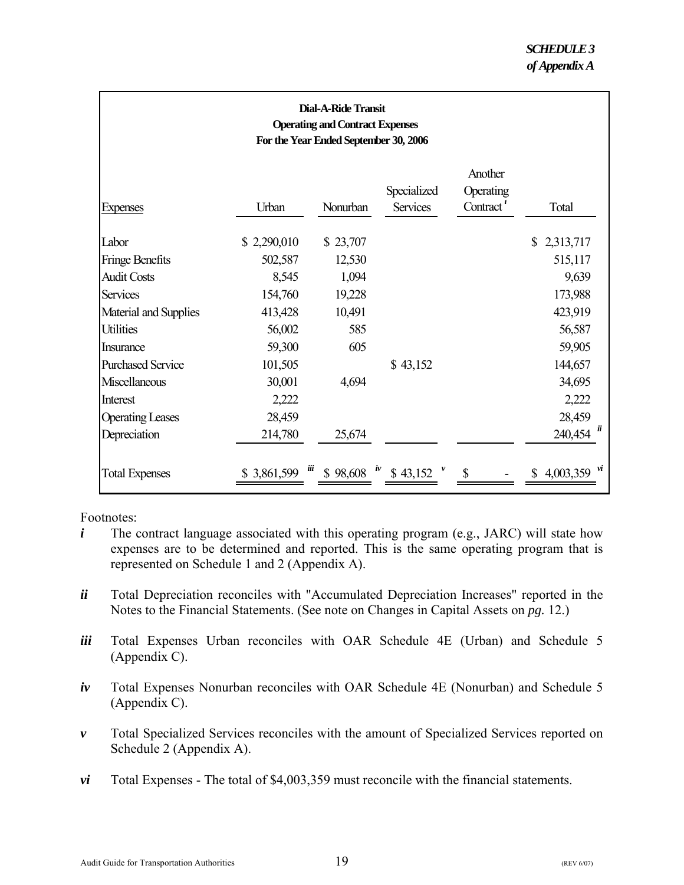<span id="page-21-0"></span>

| <b>Dial-A-Ride Transit</b><br><b>Operating and Contract Expenses</b><br>For the Year Ended September 30, 2006 |             |          |                                  |                                                            |                 |  |
|---------------------------------------------------------------------------------------------------------------|-------------|----------|----------------------------------|------------------------------------------------------------|-----------------|--|
| <b>Expenses</b>                                                                                               | Urban       | Nonurban | Specialized<br><b>Services</b>   | Another<br>Operating<br>Contract <sup><math>i</math></sup> | Total           |  |
| Labor                                                                                                         | \$2,290,010 | \$23,707 |                                  |                                                            | \$2,313,717     |  |
| Fringe Benefits                                                                                               | 502,587     | 12,530   |                                  |                                                            | 515,117         |  |
| <b>Audit Costs</b>                                                                                            | 8,545       | 1,094    |                                  |                                                            | 9,639           |  |
| <b>Services</b>                                                                                               | 154,760     | 19,228   |                                  |                                                            | 173,988         |  |
| Material and Supplies                                                                                         | 413,428     | 10,491   |                                  |                                                            | 423,919         |  |
| <b>Utilities</b>                                                                                              | 56,002      | 585      |                                  |                                                            | 56,587          |  |
| <b>Insurance</b>                                                                                              | 59,300      | 605      |                                  |                                                            | 59,905          |  |
| <b>Purchased Service</b>                                                                                      | 101,505     |          | \$43,152                         |                                                            | 144,657         |  |
| Miscellaneous                                                                                                 | 30,001      | 4,694    |                                  |                                                            | 34,695          |  |
| Interest                                                                                                      | 2,222       |          |                                  |                                                            | 2,222           |  |
| <b>Operating Leases</b>                                                                                       | 28,459      |          |                                  |                                                            | 28,459          |  |
| Depreciation                                                                                                  | 214,780     | 25,674   |                                  |                                                            | u<br>240,454    |  |
| <b>Total Expenses</b>                                                                                         | \$3,861,599 | iü       | $$98,608$ <sup>iv</sup> \$43,152 |                                                            | vi<br>4,003,359 |  |

- *i* The contract language associated with this operating program (e.g., JARC) will state how expenses are to be determined and reported. This is the same operating program that is represented on Schedule 1 and 2 (Appendix A).
- *ii* Total Depreciation reconciles with "Accumulated Depreciation Increases" reported in the Notes to the Financial Statements. (See note on Changes in Capital Assets on *pg.* 12.)
- *iii* Total Expenses Urban reconciles with OAR Schedule 4E (Urban) and Schedule 5 (Appendix C).
- *iv* Total Expenses Nonurban reconciles with OAR Schedule 4E (Nonurban) and Schedule 5 (Appendix C).
- *v* Total Specialized Services reconciles with the amount of Specialized Services reported on Schedule 2 (Appendix A).
- *vi* Total Expenses The total of \$4,003,359 must reconcile with the financial statements.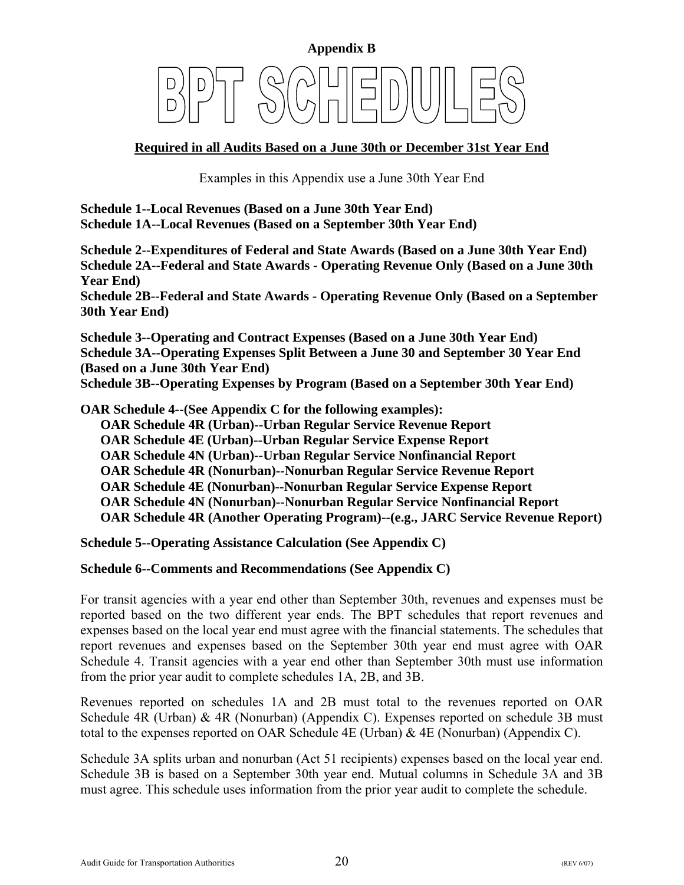<span id="page-22-0"></span>

# **Required in all Audits Based on a June 30th or December 31st Year End**

Examples in this Appendix use a June 30th Year End

**Schedule 1--Local Revenues (Based on a June 30th Year End) Schedule 1A--Local Revenues (Based on a September 30th Year End)** 

**Schedule 2--Expenditures of Federal and State Awards (Based on a June 30th Year End) Schedule 2A--Federal and State Awards - Operating Revenue Only (Based on a June 30th Year End)** 

**Schedule 2B--Federal and State Awards - Operating Revenue Only (Based on a September 30th Year End)** 

**Schedule 3--Operating and Contract Expenses (Based on a June 30th Year End) Schedule 3A--Operating Expenses Split Between a June 30 and September 30 Year End (Based on a June 30th Year End)** 

**Schedule 3B--Operating Expenses by Program (Based on a September 30th Year End)** 

**OAR Schedule 4--(See Appendix C for the following examples):** 

 **OAR Schedule 4R (Urban)--Urban Regular Service Revenue Report** 

 **OAR Schedule 4E (Urban)--Urban Regular Service Expense Report** 

 **OAR Schedule 4N (Urban)--Urban Regular Service Nonfinancial Report** 

 **OAR Schedule 4R (Nonurban)--Nonurban Regular Service Revenue Report** 

 **OAR Schedule 4E (Nonurban)--Nonurban Regular Service Expense Report** 

 **OAR Schedule 4N (Nonurban)--Nonurban Regular Service Nonfinancial Report** 

 **OAR Schedule 4R (Another Operating Program)--(e.g., JARC Service Revenue Report)** 

**Schedule 5--Operating Assistance Calculation (See Appendix C)** 

#### **Schedule 6--Comments and Recommendations (See Appendix C)**

For transit agencies with a year end other than September 30th, revenues and expenses must be reported based on the two different year ends. The BPT schedules that report revenues and expenses based on the local year end must agree with the financial statements. The schedules that report revenues and expenses based on the September 30th year end must agree with OAR Schedule 4. Transit agencies with a year end other than September 30th must use information from the prior year audit to complete schedules 1A, 2B, and 3B.

Revenues reported on schedules 1A and 2B must total to the revenues reported on OAR Schedule 4R (Urban) & 4R (Nonurban) (Appendix C). Expenses reported on schedule 3B must total to the expenses reported on OAR Schedule 4E (Urban) & 4E (Nonurban) (Appendix C).

Schedule 3A splits urban and nonurban (Act 51 recipients) expenses based on the local year end. Schedule 3B is based on a September 30th year end. Mutual columns in Schedule 3A and 3B must agree. This schedule uses information from the prior year audit to complete the schedule.

Audit Guide for Transportation Authorities  $20$  (REV 6/07)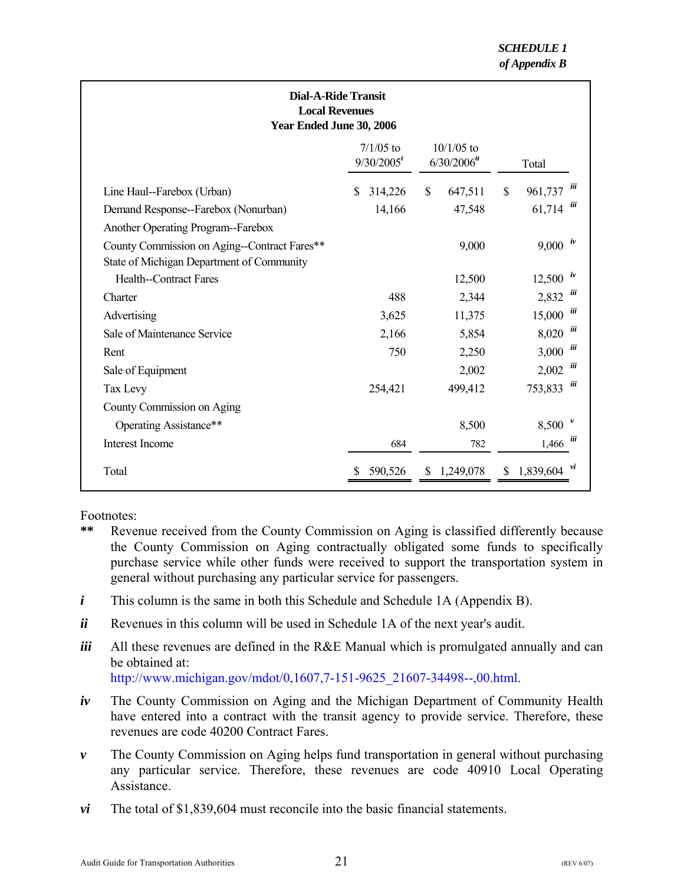<span id="page-23-0"></span>

| <b>Dial-A-Ride Transit</b><br><b>Local Revenues</b><br>Year Ended June 30, 2006                                                 |                              |                                           |                                     |  |  |  |  |
|---------------------------------------------------------------------------------------------------------------------------------|------------------------------|-------------------------------------------|-------------------------------------|--|--|--|--|
|                                                                                                                                 | $7/1/05$ to<br>$9/30/2005^i$ | $10/1/05$ to<br>$6/30/2006$ <sup>ii</sup> | Total                               |  |  |  |  |
| Line Haul--Farebox (Urban)<br>Demand Response--Farebox (Nonurban)                                                               | 314,226<br>S<br>14,166       | \$<br>647,511<br>47,548                   | üї<br>\$<br>961,737<br>üї<br>61,714 |  |  |  |  |
| Another Operating Program--Farebox<br>County Commission on Aging--Contract Fares**<br>State of Michigan Department of Community |                              | 9,000                                     | $9,000 \text{ } ^{iv}$              |  |  |  |  |
| <b>Health--Contract Fares</b>                                                                                                   |                              | 12,500                                    | 12,500                              |  |  |  |  |
| Charter                                                                                                                         | 488                          | 2,344                                     | ш<br>2,832                          |  |  |  |  |
| Advertising                                                                                                                     | 3,625                        | 11,375                                    | üї<br>15,000                        |  |  |  |  |
| Sale of Maintenance Service                                                                                                     | 2,166                        | 5,854                                     | üї<br>8,020                         |  |  |  |  |
| Rent                                                                                                                            | 750                          | 2,250                                     | üї<br>3,000                         |  |  |  |  |
| Sale of Equipment                                                                                                               |                              | 2,002                                     | üї<br>2,002                         |  |  |  |  |
| Tax Levy                                                                                                                        | 254,421                      | 499,412                                   | ш<br>753,833                        |  |  |  |  |
| County Commission on Aging                                                                                                      |                              |                                           |                                     |  |  |  |  |
| Operating Assistance**                                                                                                          |                              | 8,500                                     | 8,500                               |  |  |  |  |
| Interest Income                                                                                                                 | 684                          | 782                                       | ш<br>1,466                          |  |  |  |  |
| Total                                                                                                                           | 590,526                      | 1,249,078<br><sup>S</sup>                 | 1,839,604<br>S                      |  |  |  |  |

Footnotes:

- **\*\*** Revenue received from the County Commission on Aging is classified differently because the County Commission on Aging contractually obligated some funds to specifically purchase service while other funds were received to support the transportation system in general without purchasing any particular service for passengers.
- *i* This column is the same in both this Schedule and Schedule 1A (Appendix B).
- *ii* Revenues in this column will be used in Schedule 1A of the next year's audit.
- *iii* All these revenues are defined in the R&E Manual which is promulgated annually and can be obtained at:

[http://www.michigan.gov/mdot/0,1607,7-151-9625\\_21607-34498--,00.html.](http://www.michigan.gov/mdot/0%2C1607%2C7-151-9625_21607-34498--%2C00.html) 

- *iv* The County Commission on Aging and the Michigan Department of Community Health have entered into a contract with the transit agency to provide service. Therefore, these revenues are code 40200 Contract Fares.
- *v* The County Commission on Aging helps fund transportation in general without purchasing any particular service. Therefore, these revenues are code 40910 Local Operating Assistance.
- *vi* The total of \$1,839,604 must reconcile into the basic financial statements.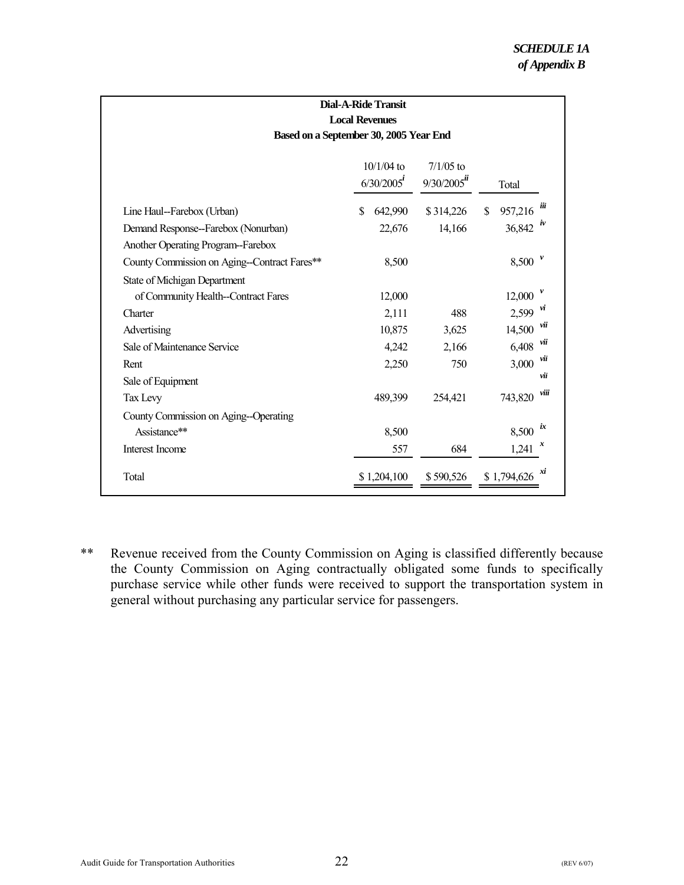<span id="page-24-0"></span>

| Dial-A-Ride Transit                                                                  |                         |                     |                                                   |  |  |  |  |
|--------------------------------------------------------------------------------------|-------------------------|---------------------|---------------------------------------------------|--|--|--|--|
| <b>Local Revenues</b>                                                                |                         |                     |                                                   |  |  |  |  |
| Based on a September 30, 2005 Year End                                               |                         |                     |                                                   |  |  |  |  |
| $10/1/04$ to<br>$7/1/05$ to<br>$9/30/2005$ <sup>ii</sup><br>$6/30/2005^{i}$<br>Total |                         |                     |                                                   |  |  |  |  |
| Line Haul-Farebox (Urban)<br>Demand Response--Farebox (Nonurban)                     | \$<br>642,990<br>22,676 | \$314,226<br>14,166 | ій<br>957,216<br>\$<br>$\boldsymbol{v}$<br>36,842 |  |  |  |  |
| Another Operating Program-Farebox<br>County Commission on Aging--Contract Fares**    | 8,500                   |                     | 8,500                                             |  |  |  |  |
| <b>State of Michigan Department</b><br>of Community Health--Contract Fares           | 12,000                  |                     | 12,000<br>vı                                      |  |  |  |  |
| Charter<br>Advertising                                                               | 2,111<br>10,875         | 488<br>3,625        | 2,599<br>νü<br>14,500                             |  |  |  |  |
| Sale of Maintenance Service                                                          | 4,242                   | 2,166               | νü<br>6,408                                       |  |  |  |  |
| Rent<br>Sale of Equipment                                                            | 2,250                   | 750                 | νü<br>3,000<br>νü                                 |  |  |  |  |
| Tax Levy                                                                             | 489,399                 | 254,421             | viii<br>743,820                                   |  |  |  |  |
| County Commission on Aging--Operating<br>Assistance**                                | 8,500                   |                     | ix<br>8,500                                       |  |  |  |  |
| Interest Income                                                                      | 557                     | 684                 | 1,241                                             |  |  |  |  |
| Total                                                                                | \$1,204,100             | \$590,526           | xi<br>\$1,794,626                                 |  |  |  |  |

\*\* Revenue received from the County Commission on Aging is classified differently because the County Commission on Aging contractually obligated some funds to specifically purchase service while other funds were received to support the transportation system in general without purchasing any particular service for passengers.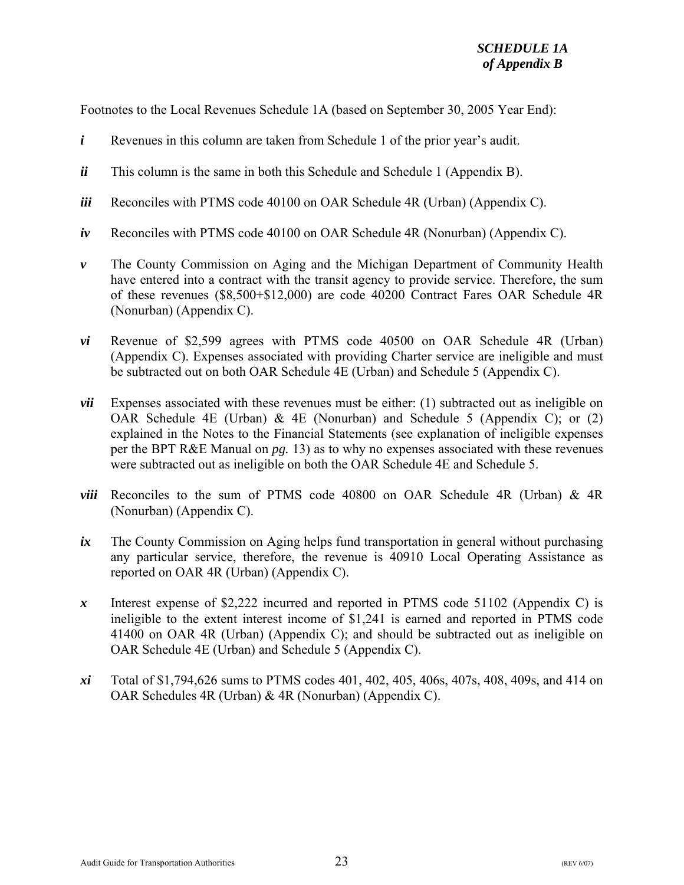Footnotes to the Local Revenues Schedule 1A (based on September 30, 2005 Year End):

- *i* Revenues in this column are taken from Schedule 1 of the prior year's audit.
- *ii* This column is the same in both this Schedule and Schedule 1 (Appendix B).
- *iii* Reconciles with PTMS code 40100 on OAR Schedule 4R (Urban) (Appendix C).
- *iv* Reconciles with PTMS code 40100 on OAR Schedule 4R (Nonurban) (Appendix C).
- *v* The County Commission on Aging and the Michigan Department of Community Health have entered into a contract with the transit agency to provide service. Therefore, the sum of these revenues (\$8,500+\$12,000) are code 40200 Contract Fares OAR Schedule 4R (Nonurban) (Appendix C).
- *vi* Revenue of \$2,599 agrees with PTMS code 40500 on OAR Schedule 4R (Urban) (Appendix C). Expenses associated with providing Charter service are ineligible and must be subtracted out on both OAR Schedule 4E (Urban) and Schedule 5 (Appendix C).
- *vii* Expenses associated with these revenues must be either: (1) subtracted out as ineligible on OAR Schedule 4E (Urban) & 4E (Nonurban) and Schedule 5 (Appendix C); or (2) explained in the Notes to the Financial Statements (see explanation of ineligible expenses per the BPT R&E Manual on *pg.* 13) as to why no expenses associated with these revenues were subtracted out as ineligible on both the OAR Schedule 4E and Schedule 5.
- *viii* Reconciles to the sum of PTMS code 40800 on OAR Schedule 4R (Urban) & 4R (Nonurban) (Appendix C).
- *ix* The County Commission on Aging helps fund transportation in general without purchasing any particular service, therefore, the revenue is 40910 Local Operating Assistance as reported on OAR 4R (Urban) (Appendix C).
- *x* Interest expense of \$2,222 incurred and reported in PTMS code 51102 (Appendix C) is ineligible to the extent interest income of \$1,241 is earned and reported in PTMS code 41400 on OAR 4R (Urban) (Appendix C); and should be subtracted out as ineligible on OAR Schedule 4E (Urban) and Schedule 5 (Appendix C).
- *xi* Total of \$1,794,626 sums to PTMS codes 401, 402, 405, 406s, 407s, 408, 409s, and 414 on OAR Schedules 4R (Urban) & 4R (Nonurban) (Appendix C).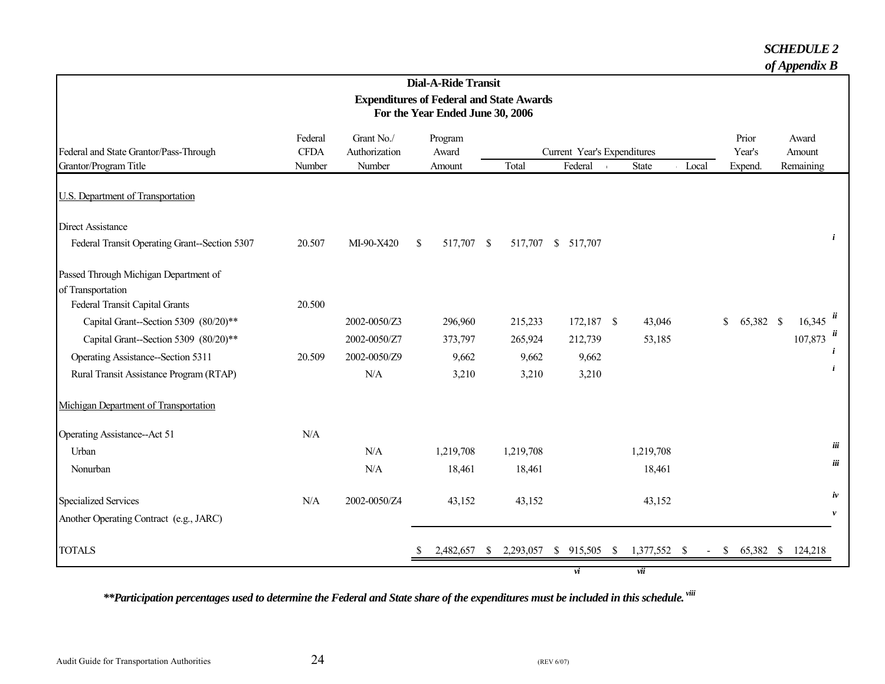#### *SCHEDULE 2*

*of Appendix B*

|                                                                 |                                  |                                                 |               | <b>Dial-A-Ride Transit</b> |  |                        |  |                                        |  |              |       |        |           |                     |                    |
|-----------------------------------------------------------------|----------------------------------|-------------------------------------------------|---------------|----------------------------|--|------------------------|--|----------------------------------------|--|--------------|-------|--------|-----------|---------------------|--------------------|
|                                                                 |                                  | <b>Expenditures of Federal and State Awards</b> |               |                            |  |                        |  |                                        |  |              |       |        |           |                     |                    |
|                                                                 | For the Year Ended June 30, 2006 |                                                 |               |                            |  |                        |  |                                        |  |              |       |        |           |                     |                    |
|                                                                 | Federal                          | Grant No./                                      |               | Program                    |  |                        |  |                                        |  |              |       |        | Prior     | Award               |                    |
| Federal and State Grantor/Pass-Through<br>Grantor/Program Title | <b>CFDA</b><br>Number            | Authorization<br>Number                         |               | Award                      |  | Total                  |  | Current Year's Expenditures<br>Federal |  |              |       |        | Year's    | Amount<br>Remaining |                    |
|                                                                 |                                  |                                                 |               | Amount                     |  |                        |  |                                        |  | State        | Local |        | Expend.   |                     |                    |
| U.S. Department of Transportation                               |                                  |                                                 |               |                            |  |                        |  |                                        |  |              |       |        |           |                     |                    |
| <b>Direct Assistance</b>                                        |                                  |                                                 |               |                            |  |                        |  |                                        |  |              |       |        |           |                     |                    |
| Federal Transit Operating Grant--Section 5307                   | 20.507                           | MI-90-X420                                      | <sup>\$</sup> | 517,707 \$                 |  |                        |  | 517,707 \$ 517,707                     |  |              |       |        |           |                     | i                  |
| Passed Through Michigan Department of                           |                                  |                                                 |               |                            |  |                        |  |                                        |  |              |       |        |           |                     |                    |
| of Transportation                                               |                                  |                                                 |               |                            |  |                        |  |                                        |  |              |       |        |           |                     |                    |
| Federal Transit Capital Grants                                  | 20.500                           |                                                 |               |                            |  |                        |  |                                        |  |              |       |        |           |                     |                    |
| Capital Grant--Section 5309 (80/20)**                           |                                  | 2002-0050/Z3                                    |               | 296,960                    |  | 215,233                |  | $172,187$ \$                           |  | 43,046       |       | \$     | 65,382 \$ | 16,345              |                    |
| Capital Grant--Section 5309 (80/20)**                           |                                  | 2002-0050/Z7                                    |               | 373,797                    |  | 265,924                |  | 212,739                                |  | 53,185       |       |        |           | 107,873             |                    |
| Operating Assistance--Section 5311                              | 20.509                           | 2002-0050/Z9                                    |               | 9,662                      |  | 9,662                  |  | 9,662                                  |  |              |       |        |           |                     |                    |
| Rural Transit Assistance Program (RTAP)                         |                                  | N/A                                             |               | 3,210                      |  | 3,210                  |  | 3,210                                  |  |              |       |        |           |                     |                    |
| Michigan Department of Transportation                           |                                  |                                                 |               |                            |  |                        |  |                                        |  |              |       |        |           |                     |                    |
| Operating Assistance--Act 51                                    | N/A                              |                                                 |               |                            |  |                        |  |                                        |  |              |       |        |           |                     |                    |
| Urban                                                           |                                  | N/A                                             |               | 1,219,708                  |  | 1,219,708              |  |                                        |  | 1,219,708    |       |        |           |                     | iii                |
| Nonurban                                                        |                                  | N/A                                             |               | 18,461                     |  | 18,461                 |  |                                        |  | 18,461       |       |        |           |                     | iii                |
| <b>Specialized Services</b>                                     | N/A                              | 2002-0050/Z4                                    |               | 43,152                     |  | 43,152                 |  |                                        |  | 43,152       |       |        |           |                     | iv                 |
| Another Operating Contract (e.g., JARC)                         |                                  |                                                 |               |                            |  |                        |  |                                        |  |              |       |        |           |                     | $\boldsymbol{\nu}$ |
| <b>TOTALS</b>                                                   |                                  |                                                 |               | 2,482,657                  |  | $\frac{\$}{2,293,057}$ |  | $$915,505$ \, \$                       |  | 1,377,552 \$ |       | $-$ \$ | 65,382 \$ | 124,218             |                    |
|                                                                 |                                  |                                                 |               |                            |  |                        |  | vi                                     |  | vii          |       |        |           |                     |                    |

<span id="page-26-0"></span> *\*\*Participation percentages used to determine the Federal and State share of the expenditures must be included in this schedule. viii*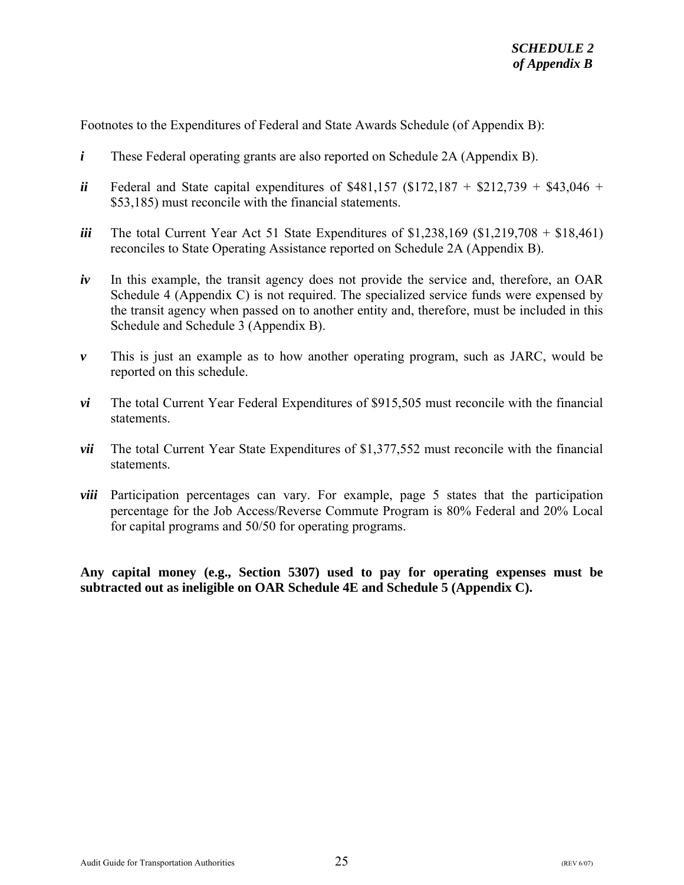Footnotes to the Expenditures of Federal and State Awards Schedule (of Appendix B):

- *i* These Federal operating grants are also reported on Schedule 2A (Appendix B).
- *ii* Federal and State capital expenditures of \$481,157 (\$172,187 + \$212,739 + \$43,046 + \$53,185) must reconcile with the financial statements.
- *iii* The total Current Year Act 51 State Expenditures of \$1,238,169 (\$1,219,708 + \$18,461) reconciles to State Operating Assistance reported on Schedule 2A (Appendix B).
- *iv* In this example, the transit agency does not provide the service and, therefore, an OAR Schedule 4 (Appendix C) is not required. The specialized service funds were expensed by the transit agency when passed on to another entity and, therefore, must be included in this Schedule and Schedule 3 (Appendix B).
- *v* This is just an example as to how another operating program, such as JARC, would be reported on this schedule.
- *vi* The total Current Year Federal Expenditures of \$915,505 must reconcile with the financial statements.
- *vii* The total Current Year State Expenditures of \$1,377,552 must reconcile with the financial statements.
- *viii* Participation percentages can vary. For example, page 5 states that the participation percentage for the Job Access/Reverse Commute Program is 80% Federal and 20% Local for capital programs and 50/50 for operating programs.

**Any capital money (e.g., Section 5307) used to pay for operating expenses must be subtracted out as ineligible on OAR Schedule 4E and Schedule 5 (Appendix C).**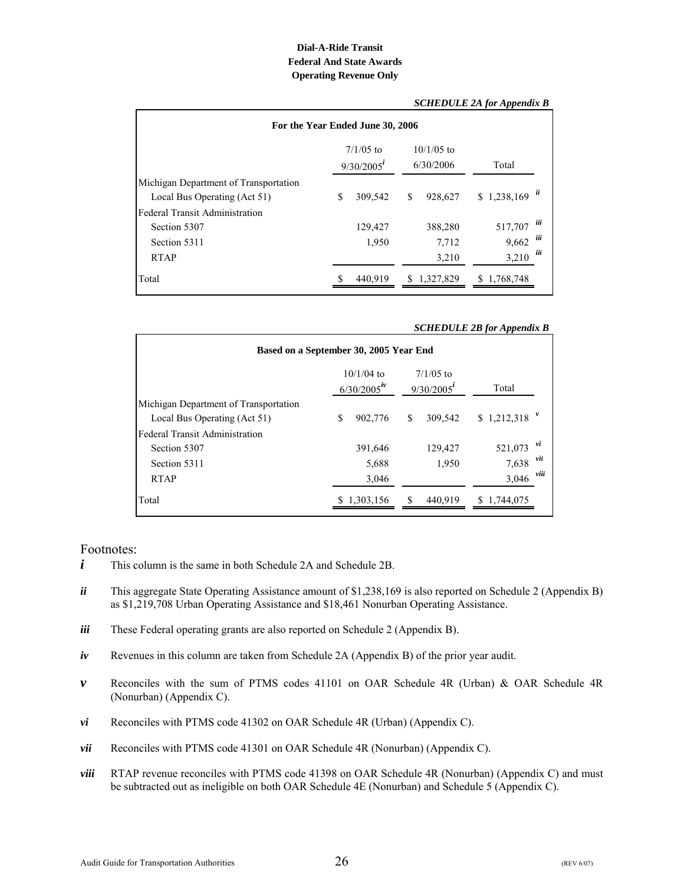#### **Dial-A-Ride Transit Operating Revenue Only Federal And State Awards**

<span id="page-28-0"></span>

|                                                                       |                                |                  |                           | SCHEDULE 2A for Appendix B |            |
|-----------------------------------------------------------------------|--------------------------------|------------------|---------------------------|----------------------------|------------|
| For the Year Ended June 30, 2006                                      |                                |                  |                           |                            |            |
|                                                                       | $7/1/05$ to<br>$9/30/2005^{i}$ |                  | $10/1/05$ to<br>6/30/2006 | Total                      |            |
| Michigan Department of Transportation<br>Local Bus Operating (Act 51) | \$                             | 309,542          | \$<br>928.627             | \$1,238,169                |            |
| <b>Federal Transit Administration</b><br>Section 5307<br>Section 5311 |                                | 129,427<br>1,950 | 388,280<br>7,712          | 517,707<br>9,662           | iii<br>iii |
| <b>RTAP</b>                                                           |                                |                  | 3,210                     | 3,210                      | iii        |
| Total                                                                 |                                | 440.919          | \$1,327,829               | \$1,768,748                |            |

#### *SCHEDULE 2A for Appendix B*

#### *SCHEDULE 2B for Appendix B*

| Based on a September 30, 2005 Year End |   |             |                                                                           |         |                |       |  |
|----------------------------------------|---|-------------|---------------------------------------------------------------------------|---------|----------------|-------|--|
|                                        |   |             | $10/1/04$ to<br>$7/1/05$ to<br>$6/30/2005$ <sup>iv</sup><br>$9/30/2005^i$ |         |                | Total |  |
| Michigan Department of Transportation  |   |             |                                                                           |         |                |       |  |
| Local Bus Operating (Act 51)           | S | 902,776     | \$                                                                        | 309,542 | $$1,212,318$ " |       |  |
| <b>Federal Transit Administration</b>  |   |             |                                                                           |         |                |       |  |
| Section 5307                           |   | 391,646     |                                                                           | 129,427 | 521,073        | vi    |  |
| Section 5311                           |   | 5,688       |                                                                           | 1,950   | 7,638          | νü    |  |
| <b>RTAP</b>                            |   | 3,046       |                                                                           |         | 3,046          | viii  |  |
| Total                                  |   | \$1,303,156 |                                                                           | 440.919 | \$1,744,075    |       |  |

- *i* This column is the same in both Schedule 2A and Schedule 2B.
- *ii* This aggregate State Operating Assistance amount of \$1,238,169 is also reported on Schedule 2 (Appendix B) as \$1,219,708 Urban Operating Assistance and \$18,461 Nonurban Operating Assistance.
- *iii* These Federal operating grants are also reported on Schedule 2 (Appendix B).
- *iv* Revenues in this column are taken from Schedule 2A (Appendix B) of the prior year audit.
- *v* Reconciles with the sum of PTMS codes 41101 on OAR Schedule 4R (Urban) & OAR Schedule 4R (Nonurban) (Appendix C).
- *vi* Reconciles with PTMS code 41302 on OAR Schedule 4R (Urban) (Appendix C).
- *vii* Reconciles with PTMS code 41301 on OAR Schedule 4R (Nonurban) (Appendix C).
- *viii* RTAP revenue reconciles with PTMS code 41398 on OAR Schedule 4R (Nonurban) (Appendix C) and must be subtracted out as ineligible on both OAR Schedule 4E (Nonurban) and Schedule 5 (Appendix C).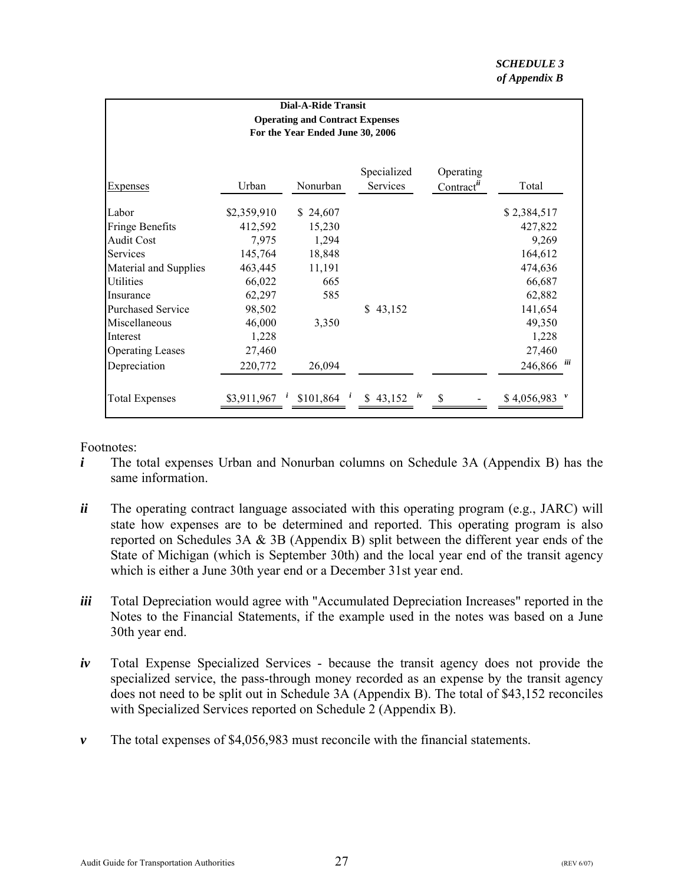<span id="page-29-0"></span>

| <b>Dial-A-Ride Transit</b><br><b>Operating and Contract Expenses</b><br>For the Year Ended June 30, 2006 |             |                                 |                         |                                     |              |  |  |  |
|----------------------------------------------------------------------------------------------------------|-------------|---------------------------------|-------------------------|-------------------------------------|--------------|--|--|--|
| <b>Expenses</b>                                                                                          | Urban       | Nonurban                        | Specialized<br>Services | Operating<br>Contract <sup>ii</sup> | Total        |  |  |  |
| Labor                                                                                                    | \$2,359,910 | \$24,607                        |                         |                                     | \$2,384,517  |  |  |  |
| <b>Fringe Benefits</b>                                                                                   | 412,592     | 15,230                          |                         |                                     | 427,822      |  |  |  |
| <b>Audit Cost</b>                                                                                        | 7,975       | 1,294                           |                         |                                     | 9,269        |  |  |  |
| Services                                                                                                 | 145,764     | 18,848                          |                         |                                     | 164,612      |  |  |  |
| Material and Supplies                                                                                    | 463,445     | 11,191                          |                         |                                     | 474,636      |  |  |  |
| Utilities                                                                                                | 66,022      | 665                             |                         |                                     | 66,687       |  |  |  |
| Insurance                                                                                                | 62,297      | 585                             |                         |                                     | 62,882       |  |  |  |
| <b>Purchased Service</b>                                                                                 | 98,502      |                                 | \$43,152                |                                     | 141,654      |  |  |  |
| Miscellaneous                                                                                            | 46,000      | 3,350                           |                         |                                     | 49,350       |  |  |  |
| Interest                                                                                                 | 1,228       |                                 |                         |                                     | 1,228        |  |  |  |
| <b>Operating Leases</b>                                                                                  | 27,460      |                                 |                         |                                     | 27,460       |  |  |  |
| Depreciation                                                                                             | 220,772     | 26,094                          |                         |                                     | 246,866<br>ш |  |  |  |
| <b>Total Expenses</b>                                                                                    |             | \$3,911,967 $^i$ \$101,864 $^i$ | \$ 43,152 $\dot{w}$     |                                     | \$4,056,983  |  |  |  |

- *i* The total expenses Urban and Nonurban columns on Schedule 3A (Appendix B) has the same information.
- *ii* The operating contract language associated with this operating program (e.g., JARC) will state how expenses are to be determined and reported. This operating program is also reported on Schedules 3A & 3B (Appendix B) split between the different year ends of the State of Michigan (which is September 30th) and the local year end of the transit agency which is either a June 30th year end or a December 31st year end.
- *iii* Total Depreciation would agree with "Accumulated Depreciation Increases" reported in the Notes to the Financial Statements, if the example used in the notes was based on a June 30th year end.
- *iv* Total Expense Specialized Services because the transit agency does not provide the specialized service, the pass-through money recorded as an expense by the transit agency does not need to be split out in Schedule 3A (Appendix B). The total of \$43,152 reconciles with Specialized Services reported on Schedule 2 (Appendix B).
- *v* The total expenses of \$4,056,983 must reconcile with the financial statements.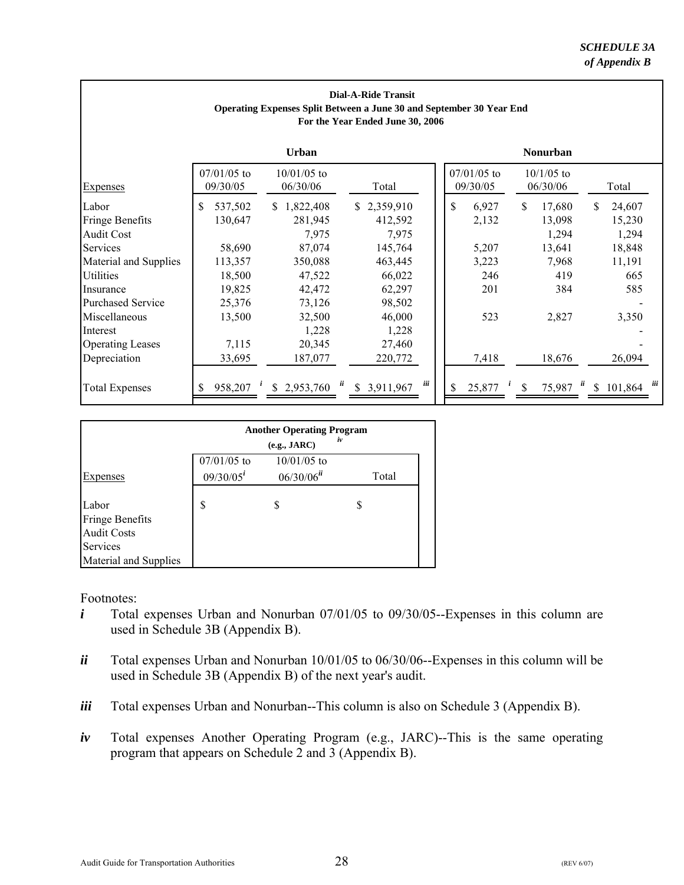| <b>Dial-A-Ride Transit</b>                                           |  |  |  |  |  |  |  |
|----------------------------------------------------------------------|--|--|--|--|--|--|--|
| Operating Expenses Split Between a June 30 and September 30 Year End |  |  |  |  |  |  |  |
| For the Year Ended June 30, 2006                                     |  |  |  |  |  |  |  |

<span id="page-30-0"></span>

|                          | <b>Urban</b>              |                           |                         | <b>Nonurban</b> |                           |                          |                  |  |  |
|--------------------------|---------------------------|---------------------------|-------------------------|-----------------|---------------------------|--------------------------|------------------|--|--|
| <b>Expenses</b>          | $07/01/05$ to<br>09/30/05 | $10/01/05$ to<br>06/30/06 | Total                   |                 | $07/01/05$ to<br>09/30/05 | $10/1/05$ to<br>06/30/06 | Total            |  |  |
| Labor                    | \$<br>537,502             | \$1,822,408               | \$2,359,910             | \$              | 6,927                     | 17,680<br>\$             | 24,607<br>S.     |  |  |
| <b>Fringe Benefits</b>   | 130,647                   | 281,945                   | 412,592                 |                 | 2,132                     | 13,098                   | 15,230           |  |  |
| <b>Audit Cost</b>        |                           | 7,975                     | 7,975                   |                 |                           | 1,294                    | 1,294            |  |  |
| Services                 | 58,690                    | 87,074                    | 145,764                 |                 | 5,207                     | 13,641                   | 18,848           |  |  |
| Material and Supplies    | 113,357                   | 350,088                   | 463,445                 |                 | 3,223                     | 7,968                    | 11,191           |  |  |
| <b>Utilities</b>         | 18,500                    | 47,522                    | 66,022                  |                 | 246                       | 419                      | 665              |  |  |
| Insurance                | 19,825                    | 42,472                    | 62,297                  |                 | 201                       | 384                      | 585              |  |  |
| <b>Purchased Service</b> | 25,376                    | 73,126                    | 98,502                  |                 |                           |                          |                  |  |  |
| Miscellaneous            | 13,500                    | 32,500                    | 46,000                  |                 | 523                       | 2,827                    | 3,350            |  |  |
| Interest                 |                           | 1,228                     | 1,228                   |                 |                           |                          |                  |  |  |
| <b>Operating Leases</b>  | 7,115                     | 20,345                    | 27,460                  |                 |                           |                          |                  |  |  |
| Depreciation             | 33,695                    | 187,077                   | 220,772                 |                 | 7,418                     | 18,676                   | 26,094           |  |  |
| <b>Total Expenses</b>    | 958,207                   | \$2,953,760               | iii<br>ü<br>\$3,911,967 |                 | 25,877                    | ü<br>75,987<br>\$        | iii<br>\$101,864 |  |  |

| <b>Another Operating Program</b><br>iv<br>(e.g., JARC) |                                           |       |  |  |  |  |  |  |
|--------------------------------------------------------|-------------------------------------------|-------|--|--|--|--|--|--|
| $07/01/05$ to<br>$09/30/05^{i}$                        | $10/01/05$ to<br>$06/30/06$ <sup>ii</sup> | Total |  |  |  |  |  |  |
| \$                                                     | S                                         | S     |  |  |  |  |  |  |
|                                                        |                                           |       |  |  |  |  |  |  |

- *i* Total expenses Urban and Nonurban 07/01/05 to 09/30/05--Expenses in this column are used in Schedule 3B (Appendix B).
- *ii* Total expenses Urban and Nonurban 10/01/05 to 06/30/06--Expenses in this column will be used in Schedule 3B (Appendix B) of the next year's audit.
- *iii* Total expenses Urban and Nonurban--This column is also on Schedule 3 (Appendix B).
- *iv* Total expenses Another Operating Program (e.g., JARC)--This is the same operating program that appears on Schedule 2 and 3 (Appendix B).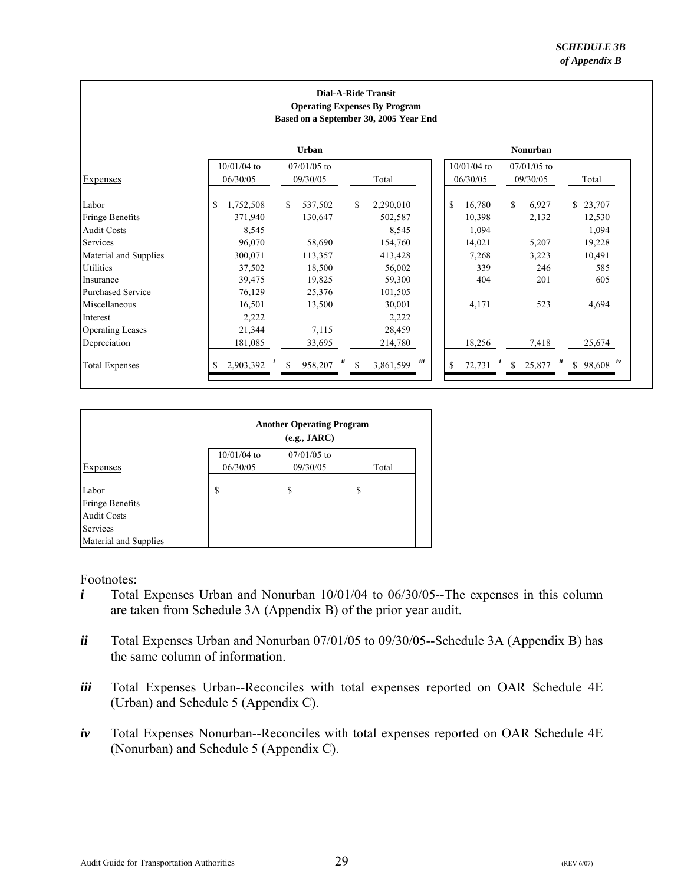#### **Dial-A-Ride Transit Operating Expenses By Program Based on a September 30, 2005 Year End**

<span id="page-31-0"></span>

|                          |                           | <b>Urban</b>                                                 |                 | <b>Nonurban</b>                                                 |
|--------------------------|---------------------------|--------------------------------------------------------------|-----------------|-----------------------------------------------------------------|
| <b>Expenses</b>          | $10/01/04$ to<br>06/30/05 | $07/01/05$ to<br>09/30/05                                    | Total           | $10/01/04$ to<br>$07/01/05$ to<br>06/30/05<br>09/30/05<br>Total |
| Labor                    | \$<br>1,752,508           | \$<br>537,502                                                | S.<br>2,290,010 | S<br>\$<br>16,780<br>6,927<br>\$23,707                          |
| <b>Fringe Benefits</b>   | 371,940                   | 130,647                                                      | 502,587         | 10,398<br>2,132<br>12,530                                       |
| Audit Costs              | 8,545                     |                                                              | 8,545           | 1,094<br>1,094                                                  |
| Services                 | 96,070                    | 58,690                                                       | 154,760         | 14,021<br>5,207<br>19,228                                       |
| Material and Supplies    | 300,071                   | 113,357                                                      | 413,428         | 7,268<br>10,491<br>3,223                                        |
| Utilities                | 37,502                    | 18,500                                                       | 56,002          | 339<br>246<br>585                                               |
| Insurance                | 39,475                    | 19,825                                                       | 59,300          | 404<br>201<br>605                                               |
| <b>Purchased Service</b> | 76,129                    | 25,376                                                       | 101,505         |                                                                 |
| Miscellaneous            | 16,501                    | 13,500                                                       | 30,001          | 523<br>4,171<br>4,694                                           |
| Interest                 | 2,222                     |                                                              | 2,222           |                                                                 |
| <b>Operating Leases</b>  | 21,344                    | 7,115                                                        | 28,459          |                                                                 |
| Depreciation             | 181,085                   | 33,695                                                       | 214,780         | 18,256<br>7,418<br>25,674                                       |
| <b>Total Expenses</b>    | $\iota$<br>2,903,392      | $\ddot{u}$<br>$\mathcal{S}$<br>958,207<br>$\mathbf{\hat{S}}$ | ш<br>3,861,599  | ü<br>$$98,608$ iv<br>25,877<br>72,731<br>$\mathbf{s}$           |

|                                                       |                           | <b>Another Operating Program</b><br>(e.g., JARC) |       |  |  |  |  |  |  |
|-------------------------------------------------------|---------------------------|--------------------------------------------------|-------|--|--|--|--|--|--|
| Expenses                                              | $10/01/04$ to<br>06/30/05 | $07/01/05$ to<br>09/30/05                        | Total |  |  |  |  |  |  |
| Labor<br><b>Fringe Benefits</b><br><b>Audit Costs</b> | S                         | S                                                | \$    |  |  |  |  |  |  |
| Services<br>Material and Supplies                     |                           |                                                  |       |  |  |  |  |  |  |

- *i* Total Expenses Urban and Nonurban 10/01/04 to 06/30/05--The expenses in this column are taken from Schedule 3A (Appendix B) of the prior year audit.
- *ii* Total Expenses Urban and Nonurban 07/01/05 to 09/30/05--Schedule 3A (Appendix B) has the same column of information.
- *iii* Total Expenses Urban--Reconciles with total expenses reported on OAR Schedule 4E (Urban) and Schedule 5 (Appendix C).
- *iv* Total Expenses Nonurban--Reconciles with total expenses reported on OAR Schedule 4E (Nonurban) and Schedule 5 (Appendix C).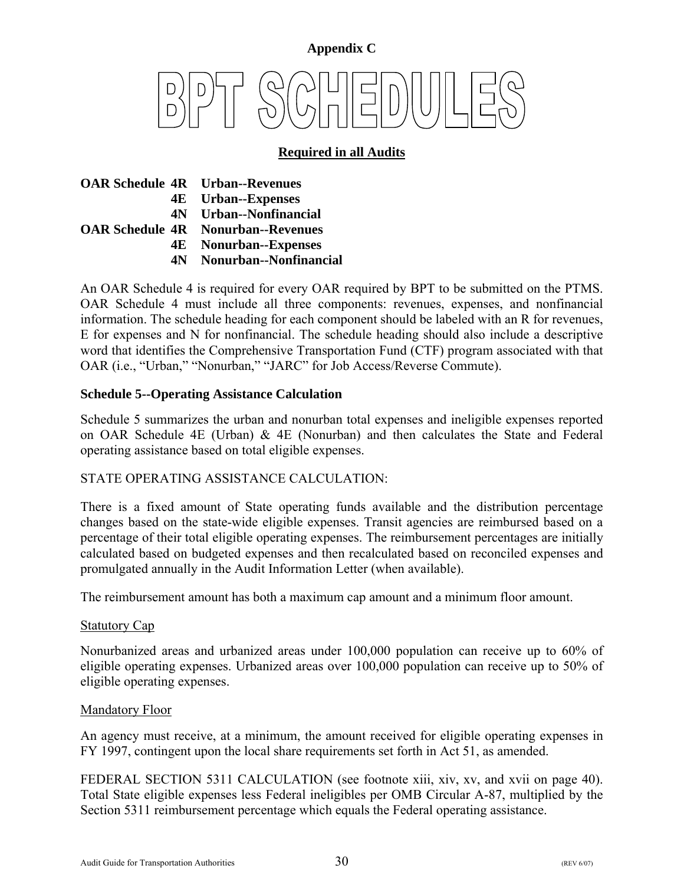# <span id="page-32-0"></span>**Appendix C**

# **Required in all Audits**

|  | <b>OAR Schedule 4R</b> Urban--Revenues    |
|--|-------------------------------------------|
|  | <b>4E</b> Urban--Expenses                 |
|  | 4N Urban--Nonfinancial                    |
|  | <b>OAR Schedule 4R</b> Nonurban--Revenues |
|  | <b>4E</b> Nonurban--Expenses              |
|  | 4N Nonurban--Nonfinancial                 |

An OAR Schedule 4 is required for every OAR required by BPT to be submitted on the PTMS. OAR Schedule 4 must include all three components: revenues, expenses, and nonfinancial information. The schedule heading for each component should be labeled with an R for revenues, E for expenses and N for nonfinancial. The schedule heading should also include a descriptive word that identifies the Comprehensive Transportation Fund (CTF) program associated with that OAR (i.e., "Urban," "Nonurban," "JARC" for Job Access/Reverse Commute).

#### **Schedule 5--Operating Assistance Calculation**

Schedule 5 summarizes the urban and nonurban total expenses and ineligible expenses reported on OAR Schedule 4E (Urban) & 4E (Nonurban) and then calculates the State and Federal operating assistance based on total eligible expenses.

#### STATE OPERATING ASSISTANCE CALCULATION:

There is a fixed amount of State operating funds available and the distribution percentage changes based on the state-wide eligible expenses. Transit agencies are reimbursed based on a percentage of their total eligible operating expenses. The reimbursement percentages are initially calculated based on budgeted expenses and then recalculated based on reconciled expenses and promulgated annually in the Audit Information Letter (when available).

The reimbursement amount has both a maximum cap amount and a minimum floor amount.

#### Statutory Cap

Nonurbanized areas and urbanized areas under 100,000 population can receive up to 60% of eligible operating expenses. Urbanized areas over 100,000 population can receive up to 50% of eligible operating expenses.

#### Mandatory Floor

An agency must receive, at a minimum, the amount received for eligible operating expenses in FY 1997, contingent upon the local share requirements set forth in Act 51, as amended.

FEDERAL SECTION 5311 CALCULATION (see footnote xiii, xiv, xv, and xvii on page 40). Total State eligible expenses less Federal ineligibles per OMB Circular A-87, multiplied by the Section 5311 reimbursement percentage which equals the Federal operating assistance.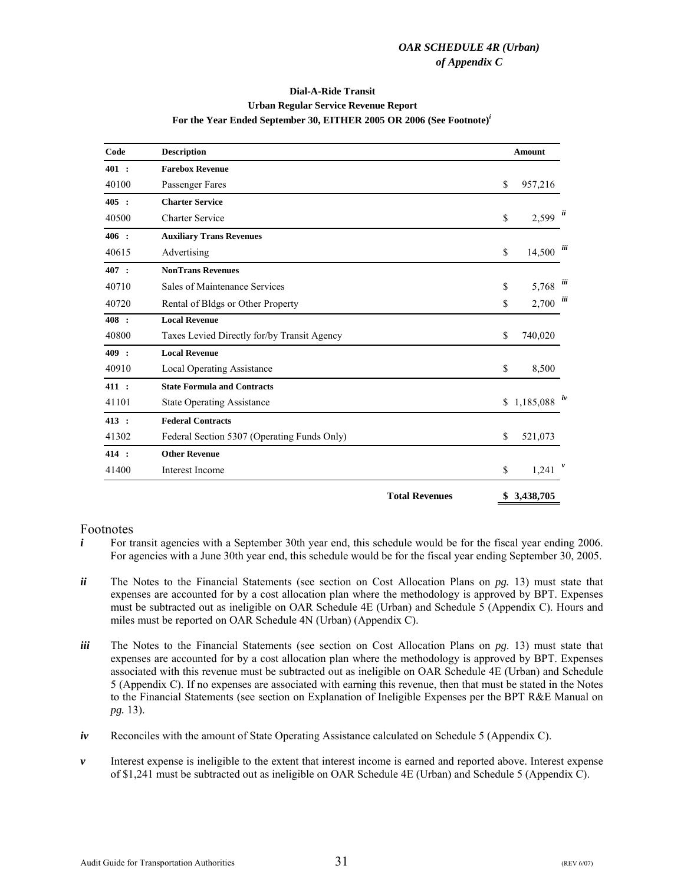#### **Dial-A-Ride Transit Urban Regular Service Revenue Report For the Year Ended September 30, EITHER 2005 OR 2006 (See Footnote)***<sup>i</sup>*

<span id="page-33-0"></span>

| Code  | <b>Description</b>                          |                       | <b>Amount</b>                |     |
|-------|---------------------------------------------|-----------------------|------------------------------|-----|
| 401:  | <b>Farebox Revenue</b>                      |                       |                              |     |
| 40100 | Passenger Fares                             |                       | \$<br>957,216                |     |
| 405 : | <b>Charter Service</b>                      |                       |                              |     |
| 40500 | <b>Charter Service</b>                      |                       | \$<br>$2,599$ $\frac{ii}{i}$ |     |
| 406:  | <b>Auxiliary Trans Revenues</b>             |                       |                              |     |
| 40615 | Advertising                                 |                       | \$<br>14,500                 | iii |
| 407 : | <b>NonTrans Revenues</b>                    |                       |                              |     |
| 40710 | Sales of Maintenance Services               |                       | \$<br>5,768                  | üї  |
| 40720 | Rental of Bldgs or Other Property           |                       | \$<br>2,700                  | iii |
| 408 : | <b>Local Revenue</b>                        |                       |                              |     |
| 40800 | Taxes Levied Directly for/by Transit Agency |                       | \$<br>740,020                |     |
| 409 : | <b>Local Revenue</b>                        |                       |                              |     |
| 40910 | <b>Local Operating Assistance</b>           |                       | \$<br>8,500                  |     |
| 411:  | <b>State Formula and Contracts</b>          |                       |                              |     |
| 41101 | <b>State Operating Assistance</b>           |                       | \$<br>$1,185,088$ iv         |     |
| 413 : | <b>Federal Contracts</b>                    |                       |                              |     |
| 41302 | Federal Section 5307 (Operating Funds Only) |                       | \$<br>521,073                |     |
| 414 : | <b>Other Revenue</b>                        |                       |                              |     |
| 41400 | Interest Income                             |                       | \$<br>1,241                  | v   |
|       |                                             | <b>Total Revenues</b> | \$<br>3,438,705              |     |

- $i$  For transit agencies with a September 30th year end, this schedule would be for the fiscal year ending 2006. For agencies with a June 30th year end, this schedule would be for the fiscal year ending September 30, 2005.
- *ii* The Notes to the Financial Statements (see section on Cost Allocation Plans on *pg.* 13) must state that expenses are accounted for by a cost allocation plan where the methodology is approved by BPT. Expenses must be subtracted out as ineligible on OAR Schedule 4E (Urban) and Schedule 5 (Appendix C). Hours and miles must be reported on OAR Schedule 4N (Urban) (Appendix C).
- *iii* The Notes to the Financial Statements (see section on Cost Allocation Plans on *pg*. 13) must state that expenses are accounted for by a cost allocation plan where the methodology is approved by BPT. Expenses associated with this revenue must be subtracted out as ineligible on OAR Schedule 4E (Urban) and Schedule 5 (Appendix C). If no expenses are associated with earning this revenue, then that must be stated in the Notes to the Financial Statements (see section on Explanation of Ineligible Expenses per the BPT R&E Manual on *pg.* 13).
- *iv* Reconciles with the amount of State Operating Assistance calculated on Schedule 5 (Appendix C).
- *v* Interest expense is ineligible to the extent that interest income is earned and reported above. Interest expense of \$1,241 must be subtracted out as ineligible on OAR Schedule 4E (Urban) and Schedule 5 (Appendix C).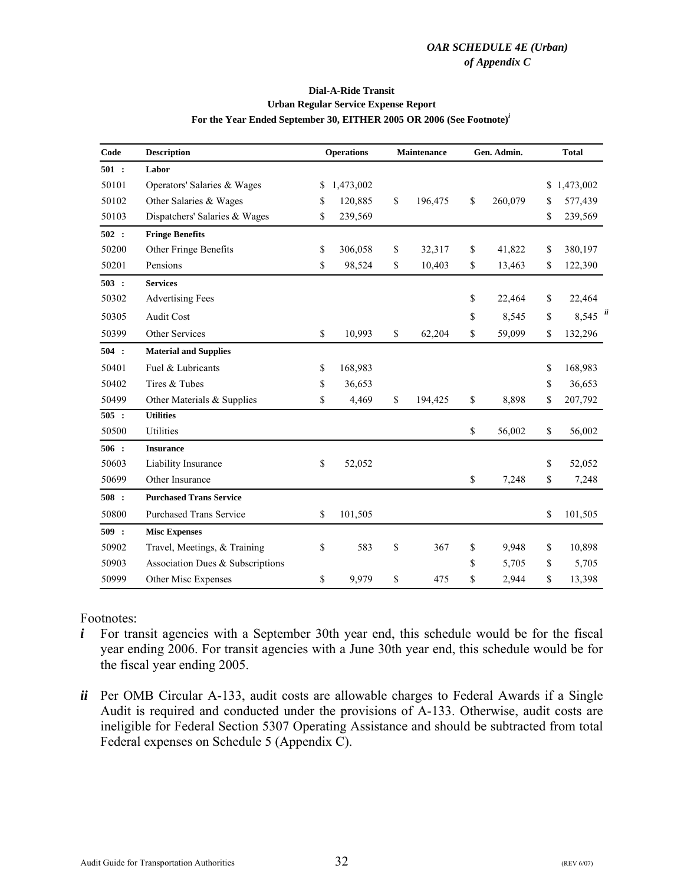#### **For the Year Ended September 30, EITHER 2005 OR 2006 (See Footnote)***<sup>i</sup>* **Urban Regular Service Expense Report Dial-A-Ride Transit**

<span id="page-34-0"></span>

| Code  | <b>Description</b>               |    | <b>Operations</b> |      | Maintenance |    | Gen. Admin. |    | <b>Total</b> |   |
|-------|----------------------------------|----|-------------------|------|-------------|----|-------------|----|--------------|---|
| 501:  | Labor                            |    |                   |      |             |    |             |    |              |   |
| 50101 | Operators' Salaries & Wages      | \$ | 1,473,002         |      |             |    |             | \$ | 1,473,002    |   |
| 50102 | Other Salaries & Wages           | \$ | 120,885           | \$   | 196,475     | \$ | 260,079     | \$ | 577,439      |   |
| 50103 | Dispatchers' Salaries & Wages    | \$ | 239,569           |      |             |    |             | \$ | 239,569      |   |
| 502 : | <b>Fringe Benefits</b>           |    |                   |      |             |    |             |    |              |   |
| 50200 | Other Fringe Benefits            | \$ | 306,058           | \$   | 32,317      | \$ | 41,822      | \$ | 380,197      |   |
| 50201 | Pensions                         | \$ | 98,524            | \$   | 10,403      | \$ | 13,463      | \$ | 122,390      |   |
| 503:  | <b>Services</b>                  |    |                   |      |             |    |             |    |              |   |
| 50302 | <b>Advertising Fees</b>          |    |                   |      |             | \$ | 22,464      | \$ | 22,464       |   |
| 50305 | Audit Cost                       |    |                   |      |             | \$ | 8,545       | \$ | 8,545        | ü |
| 50399 | Other Services                   | \$ | 10,993            | $\$$ | 62,204      | \$ | 59,099      | \$ | 132,296      |   |
| 504:  | <b>Material and Supplies</b>     |    |                   |      |             |    |             |    |              |   |
| 50401 | Fuel & Lubricants                | \$ | 168,983           |      |             |    |             | \$ | 168,983      |   |
| 50402 | Tires & Tubes                    | \$ | 36,653            |      |             |    |             | \$ | 36,653       |   |
| 50499 | Other Materials & Supplies       | \$ | 4,469             | \$   | 194,425     | \$ | 8,898       | \$ | 207,792      |   |
| 505:  | <b>Utilities</b>                 |    |                   |      |             |    |             |    |              |   |
| 50500 | Utilities                        |    |                   |      |             | \$ | 56,002      | \$ | 56,002       |   |
| 506:  | <b>Insurance</b>                 |    |                   |      |             |    |             |    |              |   |
| 50603 | Liability Insurance              | \$ | 52,052            |      |             |    |             | \$ | 52,052       |   |
| 50699 | Other Insurance                  |    |                   |      |             | \$ | 7,248       | \$ | 7,248        |   |
| 508:  | <b>Purchased Trans Service</b>   |    |                   |      |             |    |             |    |              |   |
| 50800 | <b>Purchased Trans Service</b>   | \$ | 101,505           |      |             |    |             | \$ | 101,505      |   |
| 509:  | <b>Misc Expenses</b>             |    |                   |      |             |    |             |    |              |   |
| 50902 | Travel, Meetings, & Training     | \$ | 583               | \$   | 367         | \$ | 9,948       | \$ | 10,898       |   |
| 50903 | Association Dues & Subscriptions |    |                   |      |             | \$ | 5,705       | \$ | 5,705        |   |
| 50999 | Other Misc Expenses              | \$ | 9,979             | \$   | 475         | \$ | 2,944       | \$ | 13,398       |   |

- *i* For transit agencies with a September 30th year end, this schedule would be for the fiscal year ending 2006. For transit agencies with a June 30th year end, this schedule would be for the fiscal year ending 2005.
- *ii* Per OMB Circular A-133, audit costs are allowable charges to Federal Awards if a Single Audit is required and conducted under the provisions of A-133. Otherwise, audit costs are ineligible for Federal Section 5307 Operating Assistance and should be subtracted from total Federal expenses on Schedule 5 (Appendix C).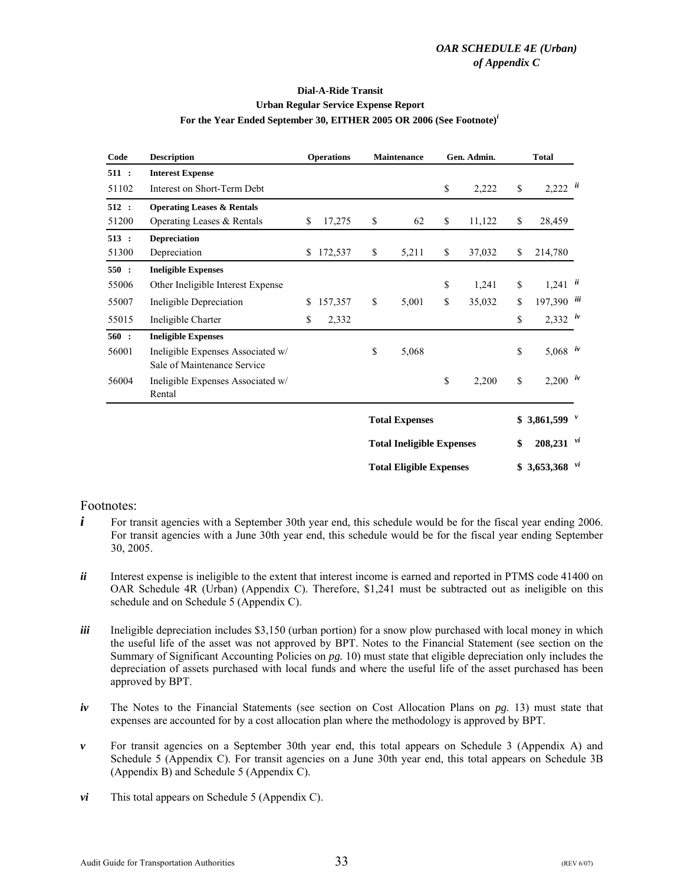#### **Urban Regular Service Expense Report Dial-A-Ride Transit For the Year Ended September 30, EITHER 2005 OR 2006 (See Footnote)***<sup>i</sup>*

| <b>Description</b><br>Code |                                                                  | <b>Operations</b> |         |                       | <b>Maintenance</b>               |    | Gen. Admin.               | <b>Total</b>                   |  |
|----------------------------|------------------------------------------------------------------|-------------------|---------|-----------------------|----------------------------------|----|---------------------------|--------------------------------|--|
| 511:                       | <b>Interest Expense</b>                                          |                   |         |                       |                                  |    |                           |                                |  |
| 51102                      | Interest on Short-Term Debt                                      |                   |         |                       |                                  | \$ | 2,222                     | \$<br>$2,222$ $ii$             |  |
| 512:                       | <b>Operating Leases &amp; Rentals</b>                            |                   |         |                       |                                  |    |                           |                                |  |
| 51200                      | Operating Leases & Rentals                                       | \$                | 17,275  | \$                    | 62                               | \$ | 11,122                    | \$<br>28,459                   |  |
| 513:                       | <b>Depreciation</b>                                              |                   |         |                       |                                  |    |                           |                                |  |
| 51300                      | Depreciation                                                     | \$                | 172,537 | \$                    | 5,211                            | \$ | 37,032                    | \$<br>214,780                  |  |
| 550:                       | <b>Ineligible Expenses</b>                                       |                   |         |                       |                                  |    |                           |                                |  |
| 55006                      | Other Ineligible Interest Expense                                |                   |         |                       |                                  | \$ | 1,241                     | \$<br>$1,241$ $ii$             |  |
| 55007                      | Ineligible Depreciation                                          | \$                | 157,357 | \$                    | 5,001                            | \$ | 35,032                    | \$<br>197,390 iii              |  |
| 55015                      | Ineligible Charter                                               | \$                | 2,332   |                       |                                  |    |                           | \$<br>$2,332$ iv               |  |
| 560:                       | <b>Ineligible Expenses</b>                                       |                   |         |                       |                                  |    |                           |                                |  |
| 56001                      | Ineligible Expenses Associated w/<br>Sale of Maintenance Service |                   |         | \$                    | 5,068                            |    |                           | \$<br>5,068 $iv$               |  |
| 56004                      | Ineligible Expenses Associated w/<br>Rental                      |                   |         |                       |                                  | \$ | 2,200                     | \$<br>$2,200$ iv               |  |
|                            |                                                                  |                   |         | <b>Total Expenses</b> |                                  |    | \$<br>3,861,599 $\degree$ |                                |  |
|                            |                                                                  |                   |         |                       | <b>Total Ineligible Expenses</b> |    |                           | \$<br>$208,231$ $\frac{vi}{i}$ |  |
|                            |                                                                  |                   |         |                       | <b>Total Eligible Expenses</b>   |    |                           | $$3,653,368$ vi                |  |

- *i* For transit agencies with a September 30th year end, this schedule would be for the fiscal year ending 2006. For transit agencies with a June 30th year end, this schedule would be for the fiscal year ending September 30, 2005.
- *ii* Interest expense is ineligible to the extent that interest income is earned and reported in PTMS code 41400 on OAR Schedule 4R (Urban) (Appendix C). Therefore, \$1,241 must be subtracted out as ineligible on this schedule and on Schedule 5 (Appendix C).
- *iii* Ineligible depreciation includes \$3,150 (urban portion) for a snow plow purchased with local money in which the useful life of the asset was not approved by BPT. Notes to the Financial Statement (see section on the Summary of Significant Accounting Policies on *pg.* 10) must state that eligible depreciation only includes the depreciation of assets purchased with local funds and where the useful life of the asset purchased has been approved by BPT.
- *iv* The Notes to the Financial Statements (see section on Cost Allocation Plans on *pg*. 13) must state that expenses are accounted for by a cost allocation plan where the methodology is approved by BPT.
- *v* For transit agencies on a September 30th year end, this total appears on Schedule 3 (Appendix A) and Schedule 5 (Appendix C). For transit agencies on a June 30th year end, this total appears on Schedule 3B (Appendix B) and Schedule 5 (Appendix C).
- *vi* This total appears on Schedule 5 (Appendix C).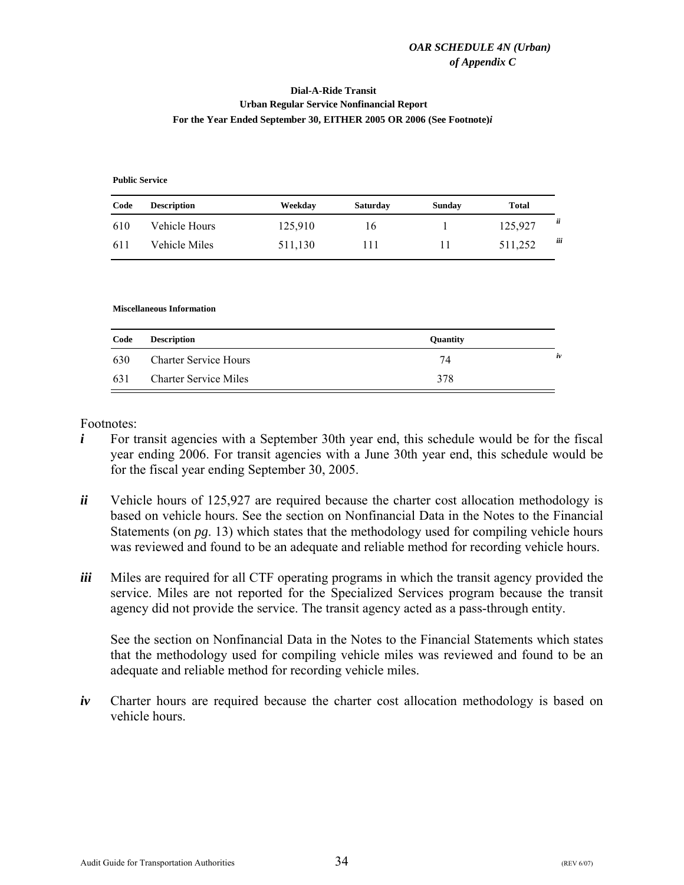#### <span id="page-36-0"></span>**Dial-A-Ride Transit Urban Regular Service Nonfinancial Report For the Year Ended September 30, EITHER 2005 OR 2006 (See Footnote)***i*

**Public Service**

| Code | <b>Description</b> | Weekday | <b>Saturday</b> | Sunday | Total   |     |
|------|--------------------|---------|-----------------|--------|---------|-----|
| 610  | Vehicle Hours      | 125,910 | 16              |        | 125,927 | ü   |
| 611  | Vehicle Miles      | 511,130 |                 | 11     | 511,252 | iii |

#### **Miscellaneous Information**

| Code | <b>Description</b>           | Quantity |    |
|------|------------------------------|----------|----|
| 630  | <b>Charter Service Hours</b> | 74       | iv |
| 631  | <b>Charter Service Miles</b> | 378      |    |

Footnotes:

- *i* For transit agencies with a September 30th year end, this schedule would be for the fiscal year ending 2006. For transit agencies with a June 30th year end, this schedule would be for the fiscal year ending September 30, 2005.
- *ii* Vehicle hours of 125,927 are required because the charter cost allocation methodology is based on vehicle hours. See the section on Nonfinancial Data in the Notes to the Financial Statements (on *pg*. 13) which states that the methodology used for compiling vehicle hours was reviewed and found to be an adequate and reliable method for recording vehicle hours.
- *iii* Miles are required for all CTF operating programs in which the transit agency provided the service. Miles are not reported for the Specialized Services program because the transit agency did not provide the service. The transit agency acted as a pass-through entity.

See the section on Nonfinancial Data in the Notes to the Financial Statements which states that the methodology used for compiling vehicle miles was reviewed and found to be an adequate and reliable method for recording vehicle miles.

*iv* Charter hours are required because the charter cost allocation methodology is based on vehicle hours.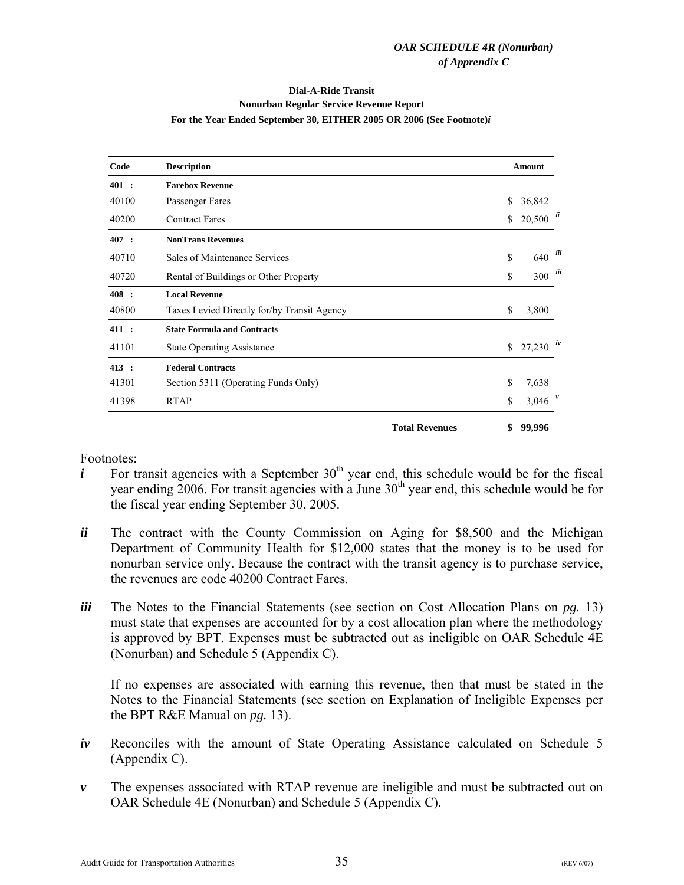#### **Dial-A-Ride Transit Nonurban Regular Service Revenue Report For the Year Ended September 30, EITHER 2005 OR 2006 (See Footnote)***i*

<span id="page-37-0"></span>

| Code  | <b>Description</b><br><b>Farebox Revenue</b> |                       |    |           |     |
|-------|----------------------------------------------|-----------------------|----|-----------|-----|
| 401:  |                                              |                       |    |           |     |
| 40100 | Passenger Fares                              |                       | \$ | 36,842    |     |
| 40200 | <b>Contract Fares</b>                        |                       | \$ | 20,500    | ü   |
| 407 : | <b>NonTrans Revenues</b>                     |                       |    |           |     |
| 40710 | Sales of Maintenance Services                |                       | \$ | 640       | iii |
| 40720 | Rental of Buildings or Other Property        |                       | \$ | 300       | iii |
| 408:  | <b>Local Revenue</b>                         |                       |    |           |     |
| 40800 | Taxes Levied Directly for/by Transit Agency  |                       | \$ | 3,800     |     |
| 411:  | <b>State Formula and Contracts</b>           |                       |    |           |     |
| 41101 | <b>State Operating Assistance</b>            |                       | \$ | 27,230    | iv  |
| 413 : | <b>Federal Contracts</b>                     |                       |    |           |     |
| 41301 | Section 5311 (Operating Funds Only)          |                       | \$ | 7,638     |     |
| 41398 | <b>RTAP</b>                                  |                       | \$ | 3,046 $V$ |     |
|       |                                              | <b>Total Revenues</b> | \$ | 99,996    |     |

Footnotes:

- *i* For transit agencies with a September  $30<sup>th</sup>$  year end, this schedule would be for the fiscal year ending 2006. For transit agencies with a June  $30<sup>th</sup>$  year end, this schedule would be for the fiscal year ending September 30, 2005.
- *ii* The contract with the County Commission on Aging for \$8,500 and the Michigan Department of Community Health for \$12,000 states that the money is to be used for nonurban service only. Because the contract with the transit agency is to purchase service, the revenues are code 40200 Contract Fares.
- *iii* The Notes to the Financial Statements (see section on Cost Allocation Plans on *pg.* 13) must state that expenses are accounted for by a cost allocation plan where the methodology is approved by BPT. Expenses must be subtracted out as ineligible on OAR Schedule 4E (Nonurban) and Schedule 5 (Appendix C).

If no expenses are associated with earning this revenue, then that must be stated in the Notes to the Financial Statements (see section on Explanation of Ineligible Expenses per the BPT R&E Manual on *pg.* 13).

- *iv* Reconciles with the amount of State Operating Assistance calculated on Schedule 5 (Appendix C).
- *v* The expenses associated with RTAP revenue are ineligible and must be subtracted out on OAR Schedule 4E (Nonurban) and Schedule 5 (Appendix C).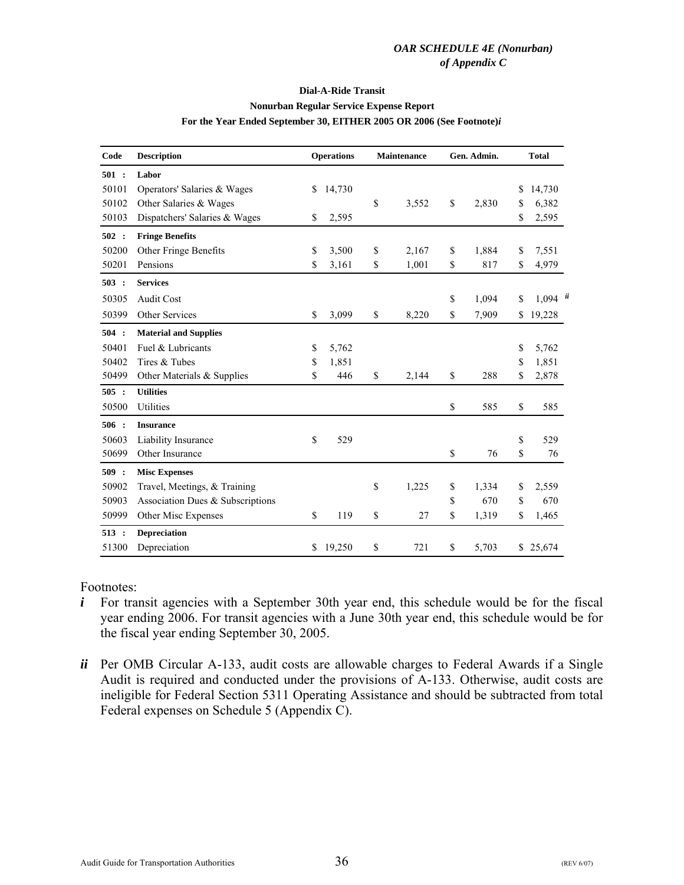#### **Dial-A-Ride Transit Nonurban Regular Service Expense Report For the Year Ended September 30, EITHER 2005 OR 2006 (See Footnote)***i*

<span id="page-38-0"></span>

| Code  | <b>Description</b>               | <b>Operations</b> | Maintenance | Gen. Admin. |    | <b>Total</b> |
|-------|----------------------------------|-------------------|-------------|-------------|----|--------------|
| 501:  | Labor                            |                   |             |             |    |              |
| 50101 | Operators' Salaries & Wages      | \$<br>14,730      |             |             | \$ | 14,730       |
| 50102 | Other Salaries & Wages           |                   | \$<br>3,552 | \$<br>2,830 | \$ | 6,382        |
| 50103 | Dispatchers' Salaries & Wages    | \$<br>2,595       |             |             | \$ | 2,595        |
| 502 : | <b>Fringe Benefits</b>           |                   |             |             |    |              |
| 50200 | Other Fringe Benefits            | \$<br>3,500       | \$<br>2,167 | \$<br>1,884 | \$ | 7,551        |
| 50201 | Pensions                         | \$<br>3,161       | \$<br>1,001 | \$<br>817   | \$ | 4,979        |
| 503:  | <b>Services</b>                  |                   |             |             |    |              |
| 50305 | <b>Audit Cost</b>                |                   |             | \$<br>1,094 | S  | 1,094        |
| 50399 | Other Services                   | \$<br>3,099       | \$<br>8,220 | \$<br>7,909 | \$ | 19,228       |
| 504:  | <b>Material and Supplies</b>     |                   |             |             |    |              |
| 50401 | Fuel & Lubricants                | \$<br>5,762       |             |             | \$ | 5,762        |
| 50402 | Tires & Tubes                    | \$<br>1,851       |             |             | \$ | 1,851        |
| 50499 | Other Materials & Supplies       | \$<br>446         | \$<br>2,144 | \$<br>288   | \$ | 2,878        |
| 505:  | <b>Utilities</b>                 |                   |             |             |    |              |
| 50500 | Utilities                        |                   |             | \$<br>585   | \$ | 585          |
| 506:  | <b>Insurance</b>                 |                   |             |             |    |              |
| 50603 | Liability Insurance              | \$<br>529         |             |             | \$ | 529          |
| 50699 | Other Insurance                  |                   |             | \$<br>76    | \$ | 76           |
| 509:  | <b>Misc Expenses</b>             |                   |             |             |    |              |
| 50902 | Travel, Meetings, & Training     |                   | \$<br>1,225 | \$<br>1,334 | \$ | 2,559        |
| 50903 | Association Dues & Subscriptions |                   |             | \$<br>670   | \$ | 670          |
| 50999 | Other Misc Expenses              | \$<br>119         | \$<br>27    | \$<br>1,319 | \$ | 1,465        |
| 513:  | <b>Depreciation</b>              |                   |             |             |    |              |
| 51300 | Depreciation                     | \$<br>19.250      | \$<br>721   | \$<br>5,703 | \$ | 25,674       |

- *i* For transit agencies with a September 30th year end, this schedule would be for the fiscal year ending 2006. For transit agencies with a June 30th year end, this schedule would be for the fiscal year ending September 30, 2005.
- *ii* Per OMB Circular A-133, audit costs are allowable charges to Federal Awards if a Single Audit is required and conducted under the provisions of A-133. Otherwise, audit costs are ineligible for Federal Section 5311 Operating Assistance and should be subtracted from total Federal expenses on Schedule 5 (Appendix C).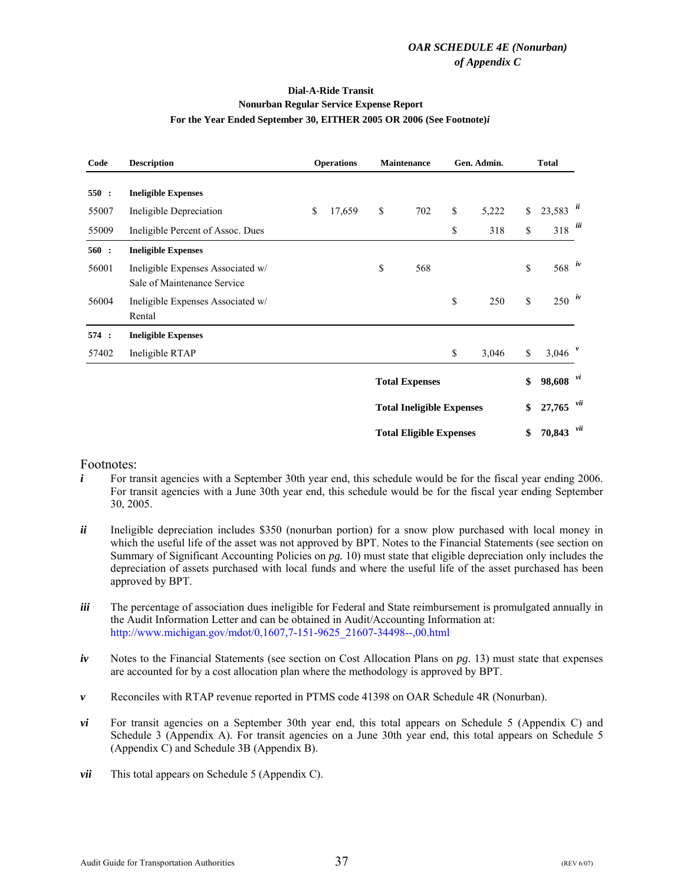#### **Dial-A-Ride Transit Nonurban Regular Service Expense Report For the Year Ended September 30, EITHER 2005 OR 2006 (See Footnote)***i*

| Code  | <b>Description</b>                                               | <b>Operations</b> | Maintenance                      | Gen. Admin. |             | <b>Total</b>            |     |
|-------|------------------------------------------------------------------|-------------------|----------------------------------|-------------|-------------|-------------------------|-----|
| 550:  | <b>Ineligible Expenses</b>                                       |                   |                                  |             |             |                         |     |
| 55007 | Ineligible Depreciation                                          | \$<br>17,659      | \$<br>702                        | \$<br>5,222 | \$          | $23,583$ $\frac{ii}{i}$ |     |
| 55009 | Ineligible Percent of Assoc. Dues                                |                   |                                  | \$<br>318   | \$          | $318$ $iii$             |     |
| 560:  | <b>Ineligible Expenses</b>                                       |                   |                                  |             |             |                         |     |
| 56001 | Ineligible Expenses Associated w/<br>Sale of Maintenance Service |                   | \$<br>568                        |             | \$          | 568 $\frac{iv}{ }$      |     |
| 56004 | Ineligible Expenses Associated w/<br>Rental                      |                   |                                  | \$<br>250   | $\mathbf S$ | $250$ $\dot{w}$         |     |
| 574:  | <b>Ineligible Expenses</b>                                       |                   |                                  |             |             |                         |     |
| 57402 | Ineligible RTAP                                                  |                   |                                  | \$<br>3,046 | \$          | 3,046 $V$               |     |
|       |                                                                  |                   | <b>Total Expenses</b>            |             | \$          | $98,608$ <sup>vi</sup>  |     |
|       |                                                                  |                   | <b>Total Ineligible Expenses</b> |             | \$          | $27,765$ <sup>vii</sup> |     |
|       |                                                                  |                   | <b>Total Eligible Expenses</b>   |             | \$          | 70,843                  | vii |

- $i$  For transit agencies with a September 30th year end, this schedule would be for the fiscal year ending 2006. For transit agencies with a June 30th year end, this schedule would be for the fiscal year ending September 30, 2005.
- *ii* Ineligible depreciation includes \$350 (nonurban portion) for a snow plow purchased with local money in which the useful life of the asset was not approved by BPT. Notes to the Financial Statements (see section on Summary of Significant Accounting Policies on *pg.* 10) must state that eligible depreciation only includes the depreciation of assets purchased with local funds and where the useful life of the asset purchased has been approved by BPT.
- *iii* The percentage of association dues ineligible for Federal and State reimbursement is promulgated annually in the Audit Information Letter and can be obtained in Audit/Accounting Information at: [http://www.michigan.gov/mdot/0,1607,7-151-9625\\_21607-34498--,00.html](http://www.michigan.gov/mdot/0%2C1607%2C7-151-9625_21607-34498--%2C00.html)
- *iv* Notes to the Financial Statements (see section on Cost Allocation Plans on *pg*. 13) must state that expenses are accounted for by a cost allocation plan where the methodology is approved by BPT.
- *v* Reconciles with RTAP revenue reported in PTMS code 41398 on OAR Schedule 4R (Nonurban).
- *vi* For transit agencies on a September 30th year end, this total appears on Schedule 5 (Appendix C) and Schedule 3 (Appendix A). For transit agencies on a June 30th year end, this total appears on Schedule 5 (Appendix C) and Schedule 3B (Appendix B).
- *vii* This total appears on Schedule 5 (Appendix C).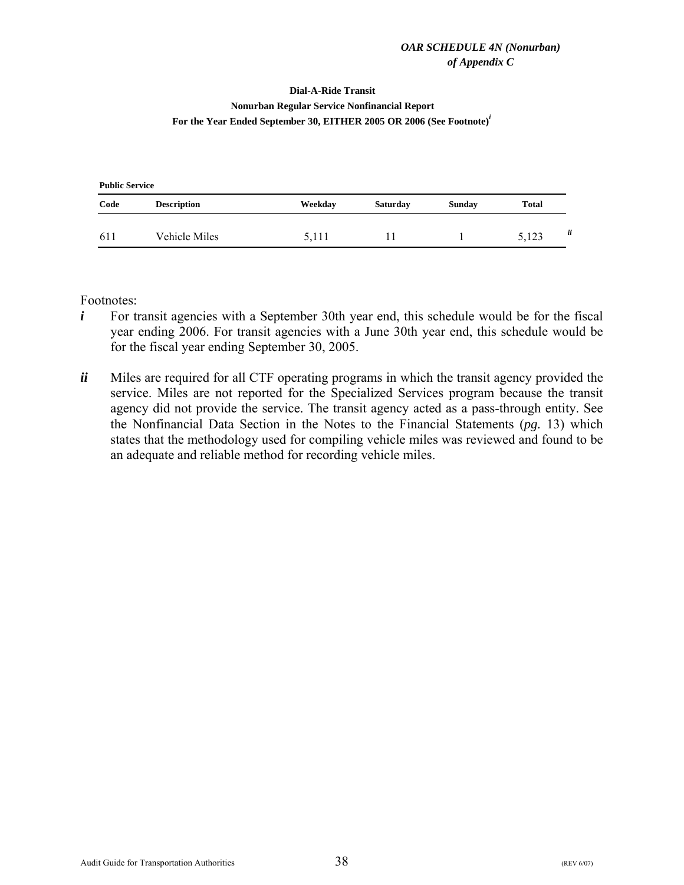#### **Dial-A-Ride Transit**

#### <span id="page-40-0"></span>**Nonurban Regular Service Nonfinancial Report For the Year Ended September 30, EITHER 2005 OR 2006 (See Footnote)***<sup>i</sup>*

| <b>Public Service</b> |                    |         |                 |               |              |   |  |  |  |
|-----------------------|--------------------|---------|-----------------|---------------|--------------|---|--|--|--|
| Code                  | <b>Description</b> | Weekday | <b>Saturday</b> | <b>Sunday</b> | <b>Total</b> |   |  |  |  |
| 611                   | Vehicle Miles      | 5,111   | Ħ               |               | 5,123        | ü |  |  |  |

- *i* For transit agencies with a September 30th year end, this schedule would be for the fiscal year ending 2006. For transit agencies with a June 30th year end, this schedule would be for the fiscal year ending September 30, 2005.
- *ii* Miles are required for all CTF operating programs in which the transit agency provided the service. Miles are not reported for the Specialized Services program because the transit agency did not provide the service. The transit agency acted as a pass-through entity. See the Nonfinancial Data Section in the Notes to the Financial Statements (*pg.* 13) which states that the methodology used for compiling vehicle miles was reviewed and found to be an adequate and reliable method for recording vehicle miles.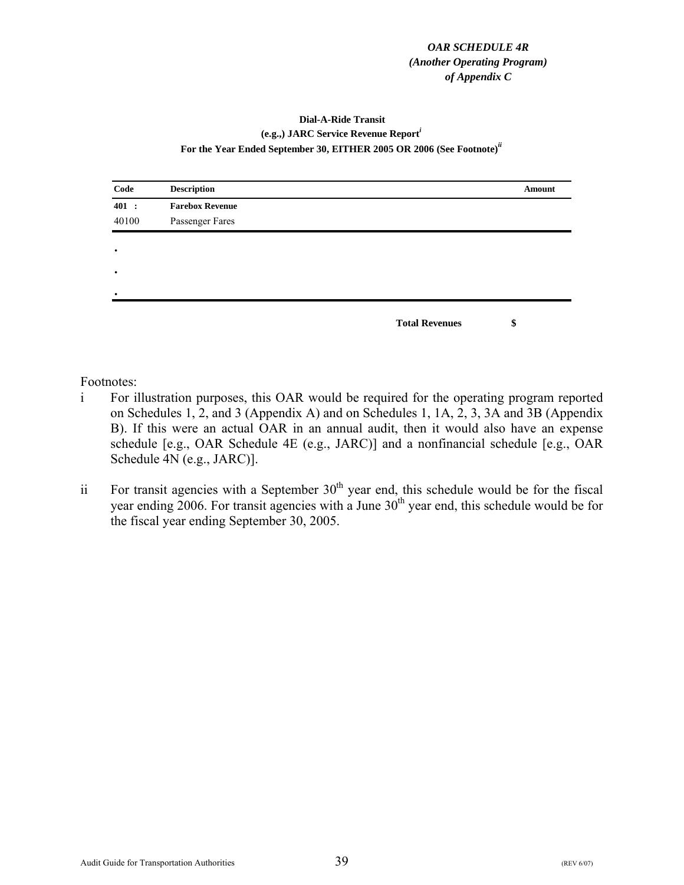#### *OAR SCHEDULE 4R (Another Operating Program) of Appendix C*

#### **Dial-A-Ride Transit (e.g.,) JARC Service Revenue Report***<sup>i</sup>* **For the Year Ended September 30, EITHER 2005 OR 2006 (See Footnote)***ii*

<span id="page-41-0"></span>

| Code      | <b>Description</b>     | Amount |
|-----------|------------------------|--------|
| 401 :     | <b>Farebox Revenue</b> |        |
| 40100     | Passenger Fares        |        |
|           |                        |        |
| $\bullet$ |                        |        |
| $\bullet$ |                        |        |
| $\bullet$ |                        |        |
|           |                        |        |
|           | <b>Total Revenues</b>  | \$     |

- i For illustration purposes, this OAR would be required for the operating program reported on Schedules 1, 2, and 3 (Appendix A) and on Schedules 1, 1A, 2, 3, 3A and 3B (Appendix B). If this were an actual OAR in an annual audit, then it would also have an expense schedule [e.g., OAR Schedule 4E (e.g., JARC)] and a nonfinancial schedule [e.g., OAR Schedule 4N (e.g., JARC)].
- ii For transit agencies with a September  $30<sup>th</sup>$  year end, this schedule would be for the fiscal year ending 2006. For transit agencies with a June 30<sup>th</sup> year end, this schedule would be for the fiscal year ending September 30, 2005.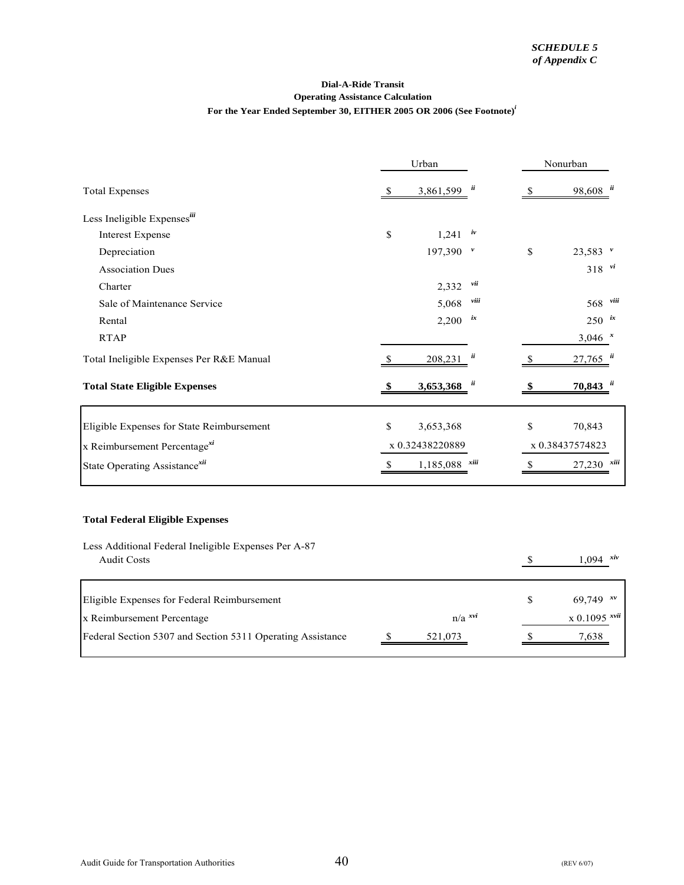#### **Operating Assistance Calculation For the Year Ended September 30, EITHER 2005 OR 2006 (See Footnote)***<sup>i</sup>* **Dial-A-Ride Transit**

<span id="page-42-0"></span>

|                                                                            | Urban       |                      |              | Nonurban     |                                     |      |
|----------------------------------------------------------------------------|-------------|----------------------|--------------|--------------|-------------------------------------|------|
| <b>Total Expenses</b>                                                      | \$          | $3,861,599$ $ii$     |              | $\mathbb{S}$ | $98,608$ <sup><math>ii</math></sup> |      |
| Less Ineligible Expensesiii                                                |             |                      |              |              |                                     |      |
| <b>Interest Expense</b>                                                    | \$          | 1,241                | iv           |              |                                     |      |
| Depreciation                                                               |             | 197,390              | $\mathbf{v}$ | \$           | $23,583$ $"$                        |      |
| <b>Association Dues</b>                                                    |             |                      |              |              | $318$ $\frac{vi}{i}$                |      |
| Charter                                                                    |             | 2,332                | vii          |              |                                     |      |
| Sale of Maintenance Service                                                |             | 5,068                | viii         |              | 568                                 | viii |
| Rental                                                                     |             | 2,200                | ix           |              | $250$ ix                            |      |
| <b>RTAP</b>                                                                |             |                      |              |              | $3,046$ *                           |      |
| Total Ineligible Expenses Per R&E Manual                                   | S           | 208,231              | ü            | \$           | 27,765                              |      |
| <b>Total State Eligible Expenses</b>                                       |             | 3,653,368            | ü            | \$           | 70,843                              |      |
| Eligible Expenses for State Reimbursement                                  | \$          | 3,653,368            |              | \$           | 70,843                              |      |
| x Reimbursement Percentage <sup>xi</sup>                                   |             | x 0.32438220889      |              |              | x 0.38437574823                     |      |
| State Operating Assistance <sup>xii</sup>                                  | $\mathbb S$ | 1,185,088            | xiii         | $\mathbb S$  | 27,230                              | xiii |
| <b>Total Federal Eligible Expenses</b>                                     |             |                      |              |              |                                     |      |
|                                                                            |             |                      |              |              |                                     |      |
| Less Additional Federal Ineligible Expenses Per A-87<br><b>Audit Costs</b> |             |                      |              |              | xiv<br>1.094                        |      |
|                                                                            |             |                      |              | $\mathbb{S}$ |                                     |      |
| Eligible Expenses for Federal Reimbursement                                |             |                      |              | \$           | 69,749 $x^v$                        |      |
| x Reimbursement Percentage                                                 |             | $n/a$ <sup>xvi</sup> |              |              | $x 0.1095$ <sup>xvii</sup>          |      |
| Federal Section 5307 and Section 5311 Operating Assistance                 |             | 521,073              |              |              | 7,638                               |      |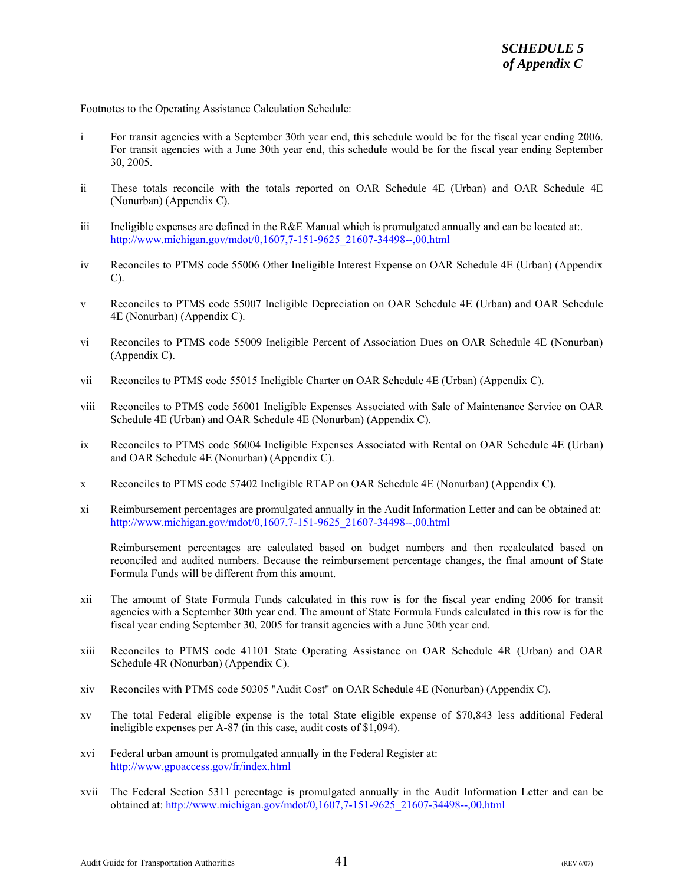Footnotes to the Operating Assistance Calculation Schedule:

- i For transit agencies with a September 30th year end, this schedule would be for the fiscal year ending 2006. For transit agencies with a June 30th year end, this schedule would be for the fiscal year ending September 30, 2005.
- ii These totals reconcile with the totals reported on OAR Schedule 4E (Urban) and OAR Schedule 4E (Nonurban) (Appendix C).
- iii Ineligible expenses are defined in the R&E Manual which is promulgated annually and can be located at:. [http://www.michigan.gov/mdot/0,1607,7-151-9625\\_21607-34498--,00.html](http://www.michigan.gov/mdot/0%2C1607%2C7-151-9625_21607-34498--%2C00.html)
- iv Reconciles to PTMS code 55006 Other Ineligible Interest Expense on OAR Schedule 4E (Urban) (Appendix C).
- v Reconciles to PTMS code 55007 Ineligible Depreciation on OAR Schedule 4E (Urban) and OAR Schedule 4E (Nonurban) (Appendix C).
- vi Reconciles to PTMS code 55009 Ineligible Percent of Association Dues on OAR Schedule 4E (Nonurban) (Appendix C).
- vii Reconciles to PTMS code 55015 Ineligible Charter on OAR Schedule 4E (Urban) (Appendix C).
- viii Reconciles to PTMS code 56001 Ineligible Expenses Associated with Sale of Maintenance Service on OAR Schedule 4E (Urban) and OAR Schedule 4E (Nonurban) (Appendix C).
- ix Reconciles to PTMS code 56004 Ineligible Expenses Associated with Rental on OAR Schedule 4E (Urban) and OAR Schedule 4E (Nonurban) (Appendix C).
- x Reconciles to PTMS code 57402 Ineligible RTAP on OAR Schedule 4E (Nonurban) (Appendix C).
- xi Reimbursement percentages are promulgated annually in the Audit Information Letter and can be obtained at: [http://www.michigan.gov/mdot/0,1607,7-151-9625\\_21607-34498--,00.html](http://www.michigan.gov/mdot/0%2C1607%2C7-151-9625_21607-34498--%2C00.html)

Reimbursement percentages are calculated based on budget numbers and then recalculated based on reconciled and audited numbers. Because the reimbursement percentage changes, the final amount of State Formula Funds will be different from this amount.

- xii The amount of State Formula Funds calculated in this row is for the fiscal year ending 2006 for transit agencies with a September 30th year end. The amount of State Formula Funds calculated in this row is for the fiscal year ending September 30, 2005 for transit agencies with a June 30th year end.
- xiii Reconciles to PTMS code 41101 State Operating Assistance on OAR Schedule 4R (Urban) and OAR Schedule 4R (Nonurban) (Appendix C).
- xiv Reconciles with PTMS code 50305 "Audit Cost" on OAR Schedule 4E (Nonurban) (Appendix C).
- xv The total Federal eligible expense is the total State eligible expense of \$70,843 less additional Federal ineligible expenses per A-87 (in this case, audit costs of \$1,094).
- xvi Federal urban amount is promulgated annually in the Federal Register at: <http://www.gpoaccess.gov/fr/index.html>
- xvii The Federal Section 5311 percentage is promulgated annually in the Audit Information Letter and can be obtained at[: http://www.michigan.gov/mdot/0,1607,7-151-9625\\_21607-34498--,00.html](http://www.michigan.gov/mdot/0%2C1607%2C7-151-9625_21607-34498--%2C00.html)